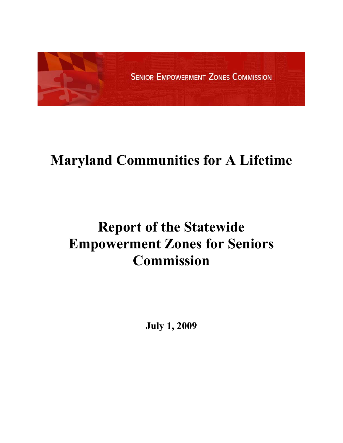

# **Maryland Communities for A Lifetime**

# **Report of the Statewide Empowerment Zones for Seniors Commission**

**July 1, 2009**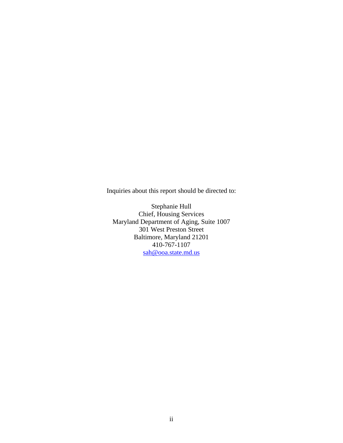Inquiries about this report should be directed to:

Stephanie Hull Chief, Housing Services Maryland Department of Aging, Suite 1007 301 West Preston Street Baltimore, Maryland 21201 410-767-1107 [sah@ooa.state.md.us](mailto:sah@ooa.state.md.us)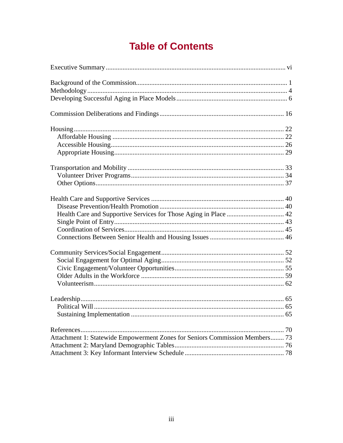# **Table of Contents**

| Attachment 1: Statewide Empowerment Zones for Seniors Commission Members 73 |  |
|-----------------------------------------------------------------------------|--|
|                                                                             |  |
|                                                                             |  |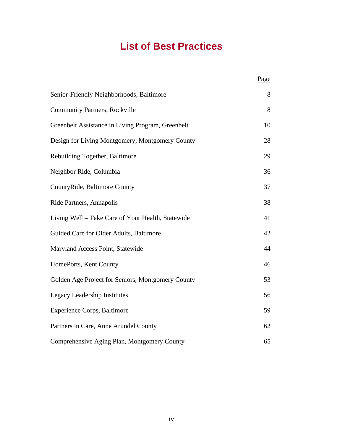# **List of Best Practices**

|                                                   | Page |
|---------------------------------------------------|------|
| Senior-Friendly Neighborhoods, Baltimore          | 8    |
| <b>Community Partners, Rockville</b>              | 8    |
| Greenbelt Assistance in Living Program, Greenbelt | 10   |
| Design for Living Montgomery, Montgomery County   | 28   |
| Rebuilding Together, Baltimore                    | 29   |
| Neighbor Ride, Columbia                           | 36   |
| CountyRide, Baltimore County                      | 37   |
| Ride Partners, Annapolis                          | 38   |
| Living Well - Take Care of Your Health, Statewide | 41   |
| Guided Care for Older Adults, Baltimore           | 42   |
| Maryland Access Point, Statewide                  | 44   |
| HomePorts, Kent County                            | 46   |
| Golden Age Project for Seniors, Montgomery County | 53   |
| Legacy Leadership Institutes                      | 56   |
| <b>Experience Corps, Baltimore</b>                | 59   |
| Partners in Care, Anne Arundel County             | 62   |
| Comprehensive Aging Plan, Montgomery County       | 65   |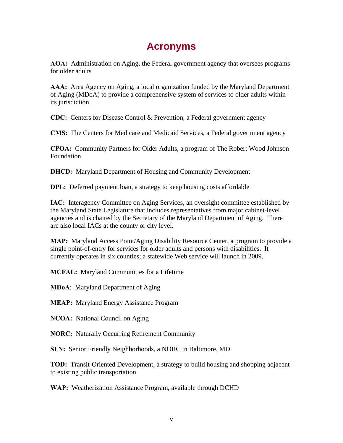### **Acronyms**

**AOA:** Administration on Aging, the Federal government agency that oversees programs for older adults

**AAA:** Area Agency on Aging, a local organization funded by the Maryland Department of Aging (MDoA) to provide a comprehensive system of services to older adults within its jurisdiction.

**CDC:** Centers for Disease Control & Prevention, a Federal government agency

**CMS:** The Centers for Medicare and Medicaid Services, a Federal government agency

**CPOA:** Community Partners for Older Adults, a program of The Robert Wood Johnson Foundation

**DHCD:** Maryland Department of Housing and Community Development

**DPL:** Deferred payment loan, a strategy to keep housing costs affordable

**IAC:** Interagency Committee on Aging Services, an oversight committee established by the Maryland State Legislature that includes representatives from major cabinet-level agencies and is chaired by the Secretary of the Maryland Department of Aging. There are also local IACs at the county or city level.

**MAP:** Maryland Access Point/Aging Disability Resource Center, a program to provide a single point-of-entry for services for older adults and persons with disabilities. It currently operates in six counties; a statewide Web service will launch in 2009.

**MCFAL:** Maryland Communities for a Lifetime

**MDoA**: Maryland Department of Aging

**MEAP:** Maryland Energy Assistance Program

**NCOA:** National Council on Aging

**NORC:** Naturally Occurring Retirement Community

**SFN:** Senior Friendly Neighborhoods, a NORC in Baltimore, MD

**TOD:** Transit-Oriented Development, a strategy to build housing and shopping adjacent to existing public transportation

**WAP:** Weatherization Assistance Program, available through DCHD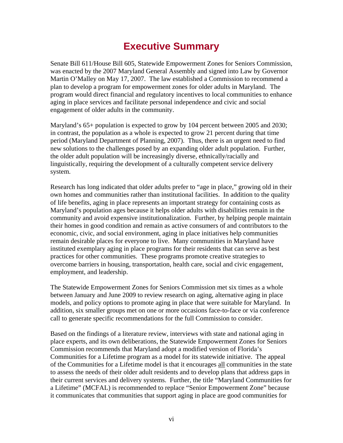## **Executive Summary**

<span id="page-5-0"></span>Senate Bill 611/House Bill 605, Statewide Empowerment Zones for Seniors Commission, was enacted by the 2007 Maryland General Assembly and signed into Law by Governor Martin O'Malley on May 17, 2007. The law established a Commission to recommend a plan to develop a program for empowerment zones for older adults in Maryland. The program would direct financial and regulatory incentives to local communities to enhance aging in place services and facilitate personal independence and civic and social engagement of older adults in the community.

Maryland's 65+ population is expected to grow by 104 percent between 2005 and 2030; in contrast, the population as a whole is expected to grow 21 percent during that time period (Maryland Department of Planning, 2007). Thus, there is an urgent need to find new solutions to the challenges posed by an expanding older adult population. Further, the older adult population will be increasingly diverse, ethnically/racially and linguistically, requiring the development of a culturally competent service delivery system.

Research has long indicated that older adults prefer to "age in place," growing old in their own homes and communities rather than institutional facilities. In addition to the quality of life benefits, aging in place represents an important strategy for containing costs as Maryland's population ages because it helps older adults with disabilities remain in the community and avoid expensive institutionalization. Further, by helping people maintain their homes in good condition and remain as active consumers of and contributors to the economic, civic, and social environment, aging in place initiatives help communities remain desirable places for everyone to live. Many communities in Maryland have instituted exemplary aging in place programs for their residents that can serve as best practices for other communities. These programs promote creative strategies to overcome barriers in housing, transportation, health care, social and civic engagement, employment, and leadership.

The Statewide Empowerment Zones for Seniors Commission met six times as a whole between January and June 2009 to review research on aging, alternative aging in place models, and policy options to promote aging in place that were suitable for Maryland. In addition, six smaller groups met on one or more occasions face-to-face or via conference call to generate specific recommendations for the full Commission to consider.

Based on the findings of a literature review, interviews with state and national aging in place experts, and its own deliberations, the Statewide Empowerment Zones for Seniors Commission recommends that Maryland adopt a modified version of Florida's Communities for a Lifetime program as a model for its statewide initiative. The appeal of the Communities for a Lifetime model is that it encourages all communities in the state to assess the needs of their older adult residents and to develop plans that address gaps in their current services and delivery systems. Further, the title "Maryland Communities for a Lifetime" (MCFAL) is recommended to replace "Senior Empowerment Zone" because it communicates that communities that support aging in place are good communities for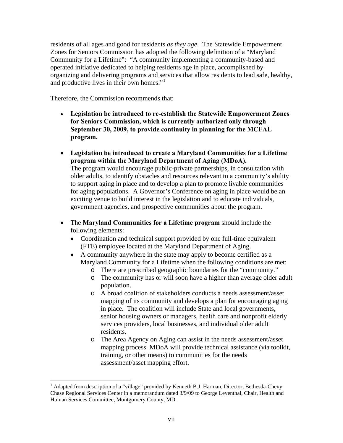<span id="page-6-0"></span>residents of all ages and good for residents *as they age*. The Statewide Empowerment Zones for Seniors Commission has adopted the following definition of a "Maryland Community for a Lifetime": "A community implementing a community-based and operated initiative dedicated to helping residents age in place, accomplished by organizing and delivering programs and services that allow residents to lead safe, healthy, and productive lives in their own homes."<sup>[1](#page-6-0)</sup>

Therefore, the Commission recommends that:

 $\overline{a}$ 

- **Legislation be introduced to re-establish the Statewide Empowerment Zones for Seniors Commission, which is currently authorized only through September 30, 2009, to provide continuity in planning for the MCFAL program.**
- **Legislation be introduced to create a Maryland Communities for a Lifetime program within the Maryland Department of Aging (MDoA).**  The program would encourage public-private partnerships, in consultation with older adults, to identify obstacles and resources relevant to a community's ability to support aging in place and to develop a plan to promote livable communities for aging populations. A Governor's Conference on aging in place would be an exciting venue to build interest in the legislation and to educate individuals, government agencies, and prospective communities about the program.
- The **Maryland Communities for a Lifetime program** should include the following elements:
	- Coordination and technical support provided by one full-time equivalent (FTE) employee located at the Maryland Department of Aging.
	- A community anywhere in the state may apply to become certified as a Maryland Community for a Lifetime when the following conditions are met:
		- o There are prescribed geographic boundaries for the "community."
		- o The community has or will soon have a higher than average older adult population.
		- o A broad coalition of stakeholders conducts a needs assessment/asset mapping of its community and develops a plan for encouraging aging in place. The coalition will include State and local governments, senior housing owners or managers, health care and nonprofit elderly services providers, local businesses, and individual older adult residents.
		- o The Area Agency on Aging can assist in the needs assessment/asset mapping process. MDoA will provide technical assistance (via toolkit, training, or other means) to communities for the needs assessment/asset mapping effort.

<sup>&</sup>lt;sup>1</sup> Adapted from description of a "village" provided by Kenneth B.J. Harman, Director, Bethesda-Chevy Chase Regional Services Center in a memorandum dated 3/9/09 to George Leventhal, Chair, Health and Human Services Committee, Montgomery County, MD.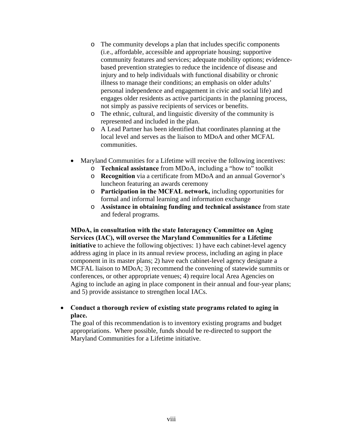- o The community develops a plan that includes specific components (i.e., affordable, accessible and appropriate housing; supportive community features and services; adequate mobility options; evidencebased prevention strategies to reduce the incidence of disease and injury and to help individuals with functional disability or chronic illness to manage their conditions; an emphasis on older adults' personal independence and engagement in civic and social life) and engages older residents as active participants in the planning process, not simply as passive recipients of services or benefits.
- o The ethnic, cultural, and linguistic diversity of the community is represented and included in the plan.
- o A Lead Partner has been identified that coordinates planning at the local level and serves as the liaison to MDoA and other MCFAL communities.
- Maryland Communities for a Lifetime will receive the following incentives:
	- o **Technical assistance** from MDoA, including a "how to" toolkit
	- o **Recognition** via a certificate from MDoA and an annual Governor's luncheon featuring an awards ceremony
	- o **Participation in the MCFAL network,** including opportunities for formal and informal learning and information exchange
	- o **Assistance in obtaining funding and technical assistance** from state and federal programs.

#### **MDoA, in consultation with the state Interagency Committee on Aging Services (IAC), will oversee the Maryland Communities for a Lifetime**

**initiative** to achieve the following objectives: 1) have each cabinet-level agency address aging in place in its annual review process, including an aging in place component in its master plans; 2) have each cabinet-level agency designate a MCFAL liaison to MDoA; 3) recommend the convening of statewide summits or conferences, or other appropriate venues; 4) require local Area Agencies on Aging to include an aging in place component in their annual and four-year plans; and 5) provide assistance to strengthen local IACs.

• **Conduct a thorough review of existing state programs related to aging in place.** 

The goal of this recommendation is to inventory existing programs and budget appropriations. Where possible, funds should be re-directed to support the Maryland Communities for a Lifetime initiative.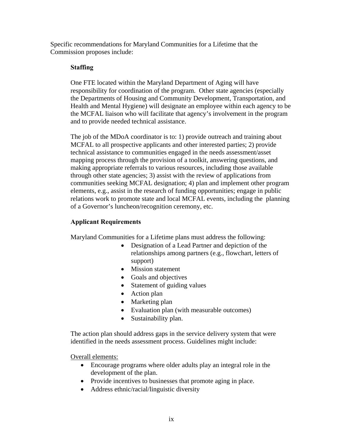Specific recommendations for Maryland Communities for a Lifetime that the Commission proposes include:

### **Staffing**

One FTE located within the Maryland Department of Aging will have responsibility for coordination of the program. Other state agencies (especially the Departments of Housing and Community Development, Transportation, and Health and Mental Hygiene) will designate an employee within each agency to be the MCFAL liaison who will facilitate that agency's involvement in the program and to provide needed technical assistance.

The job of the MDoA coordinator is to: 1) provide outreach and training about MCFAL to all prospective applicants and other interested parties; 2) provide technical assistance to communities engaged in the needs assessment/asset mapping process through the provision of a toolkit, answering questions, and making appropriate referrals to various resources, including those available through other state agencies; 3) assist with the review of applications from communities seeking MCFAL designation; 4) plan and implement other program elements, e.g., assist in the research of funding opportunities; engage in public relations work to promote state and local MCFAL events, including the planning of a Governor's luncheon/recognition ceremony, etc.

### **Applicant Requirements**

Maryland Communities for a Lifetime plans must address the following:

- Designation of a Lead Partner and depiction of the relationships among partners (e.g., flowchart, letters of support)
- Mission statement
- Goals and objectives
- Statement of guiding values
- Action plan
- Marketing plan
- Evaluation plan (with measurable outcomes)
- Sustainability plan.

The action plan should address gaps in the service delivery system that were identified in the needs assessment process. Guidelines might include:

Overall elements:

- Encourage programs where older adults play an integral role in the development of the plan.
- Provide incentives to businesses that promote aging in place.
- Address ethnic/racial/linguistic diversity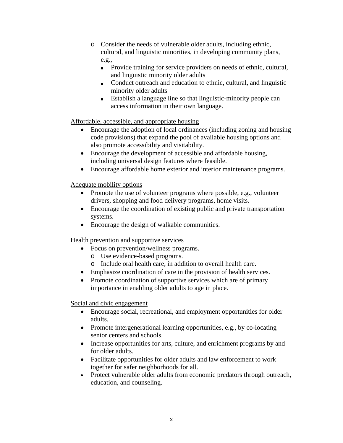- o Consider the needs of vulnerable older adults, including ethnic, cultural, and linguistic minorities, in developing community plans, e.g.,
	- Provide training for service providers on needs of ethnic, cultural, and linguistic minority older adults
	- Conduct outreach and education to ethnic, cultural, and linguistic minority older adults
	- Establish a language line so that linguistic-minority people can access information in their own language.

### Affordable, accessible, and appropriate housing

- Encourage the adoption of local ordinances (including zoning and housing code provisions) that expand the pool of available housing options and also promote accessibility and visitability.
- Encourage the development of accessible and affordable housing, including universal design features where feasible.
- Encourage affordable home exterior and interior maintenance programs.

### Adequate mobility options

- Promote the use of volunteer programs where possible, e.g., volunteer drivers, shopping and food delivery programs, home visits.
- Encourage the coordination of existing public and private transportation systems.
- Encourage the design of walkable communities.

Health prevention and supportive services

- Focus on prevention/wellness programs.
	- o Use evidence-based programs.
	- o Include oral health care, in addition to overall health care.
- Emphasize coordination of care in the provision of health services.
- Promote coordination of supportive services which are of primary importance in enabling older adults to age in place.

Social and civic engagement

- Encourage social, recreational, and employment opportunities for older adults.
- Promote intergenerational learning opportunities, e.g., by co-locating senior centers and schools.
- Increase opportunities for arts, culture, and enrichment programs by and for older adults.
- Facilitate opportunities for older adults and law enforcement to work together for safer neighborhoods for all.
- Protect vulnerable older adults from economic predators through outreach, education, and counseling.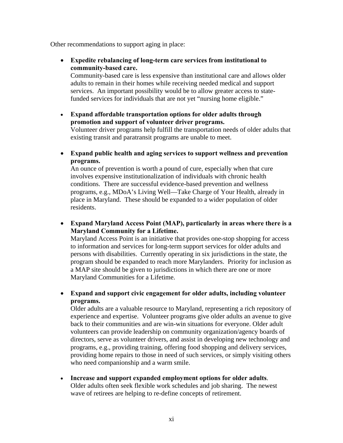Other recommendations to support aging in place:

• **Expedite rebalancing of long-term care services from institutional to community-based care.** 

Community-based care is less expensive than institutional care and allows older adults to remain in their homes while receiving needed medical and support services. An important possibility would be to allow greater access to statefunded services for individuals that are not yet "nursing home eligible."

• **Expand affordable transportation options for older adults through promotion and support of volunteer driver programs.** 

Volunteer driver programs help fulfill the transportation needs of older adults that existing transit and paratransit programs are unable to meet.

• **Expand public health and aging services to support wellness and prevention programs.** 

An ounce of prevention is worth a pound of cure, especially when that cure involves expensive institutionalization of individuals with chronic health conditions. There are successful evidence-based prevention and wellness programs, e.g., MDoA's Living Well—Take Charge of Your Health, already in place in Maryland. These should be expanded to a wider population of older residents.

• **Expand Maryland Access Point (MAP), particularly in areas where there is a Maryland Community for a Lifetime.** 

Maryland Access Point is an initiative that provides one-stop shopping for access to information and services for long-term support services for older adults and persons with disabilities. Currently operating in six jurisdictions in the state, the program should be expanded to reach more Marylanders. Priority for inclusion as a MAP site should be given to jurisdictions in which there are one or more Maryland Communities for a Lifetime.

• **Expand and support civic engagement for older adults, including volunteer programs.** 

Older adults are a valuable resource to Maryland, representing a rich repository of experience and expertise. Volunteer programs give older adults an avenue to give back to their communities and are win-win situations for everyone. Older adult volunteers can provide leadership on community organization/agency boards of directors, serve as volunteer drivers, and assist in developing new technology and programs, e.g., providing training, offering food shopping and delivery services, providing home repairs to those in need of such services, or simply visiting others who need companionship and a warm smile.

• **Increase and support expanded employment options for older adults**. Older adults often seek flexible work schedules and job sharing. The newest wave of retirees are helping to re-define concepts of retirement.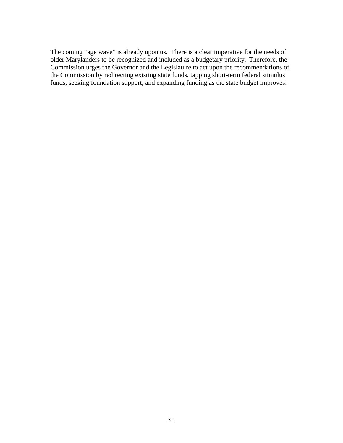The coming "age wave" is already upon us. There is a clear imperative for the needs of older Marylanders to be recognized and included as a budgetary priority. Therefore, the Commission urges the Governor and the Legislature to act upon the recommendations of the Commission by redirecting existing state funds, tapping short-term federal stimulus funds, seeking foundation support, and expanding funding as the state budget improves.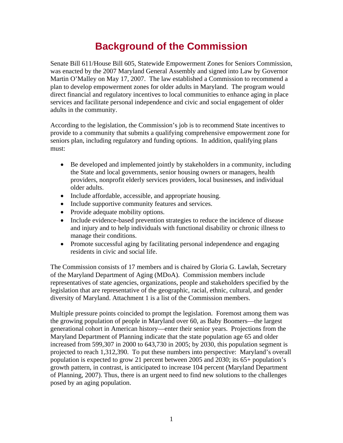# **Background of the Commission**

<span id="page-12-0"></span>Senate Bill 611/House Bill 605, Statewide Empowerment Zones for Seniors Commission, was enacted by the 2007 Maryland General Assembly and signed into Law by Governor Martin O'Malley on May 17, 2007. The law established a Commission to recommend a plan to develop empowerment zones for older adults in Maryland. The program would direct financial and regulatory incentives to local communities to enhance aging in place services and facilitate personal independence and civic and social engagement of older adults in the community.

According to the legislation, the Commission's job is to recommend State incentives to provide to a community that submits a qualifying comprehensive empowerment zone for seniors plan, including regulatory and funding options. In addition, qualifying plans must:

- Be developed and implemented jointly by stakeholders in a community, including the State and local governments, senior housing owners or managers, health providers, nonprofit elderly services providers, local businesses, and individual older adults.
- Include affordable, accessible, and appropriate housing.
- Include supportive community features and services.
- Provide adequate mobility options.
- Include evidence-based prevention strategies to reduce the incidence of disease and injury and to help individuals with functional disability or chronic illness to manage their conditions.
- Promote successful aging by facilitating personal independence and engaging residents in civic and social life.

The Commission consists of 17 members and is chaired by Gloria G. Lawlah, Secretary of the Maryland Department of Aging (MDoA). Commission members include representatives of state agencies, organizations, people and stakeholders specified by the legislation that are representative of the geographic, racial, ethnic, cultural, and gender diversity of Maryland. Attachment 1 is a list of the Commission members.

Multiple pressure points coincided to prompt the legislation. Foremost among them was the growing population of people in Maryland over 60, as Baby Boomers—the largest generational cohort in American history—enter their senior years. Projections from the Maryland Department of Planning indicate that the state population age 65 and older increased from 599,307 in 2000 to 643,730 in 2005; by 2030, this population segment is projected to reach 1,312,390. To put these numbers into perspective: Maryland's overall population is expected to grow 21 percent between 2005 and 2030; its 65+ population's growth pattern, in contrast, is anticipated to increase 104 percent (Maryland Department of Planning, 2007). Thus, there is an urgent need to find new solutions to the challenges posed by an aging population.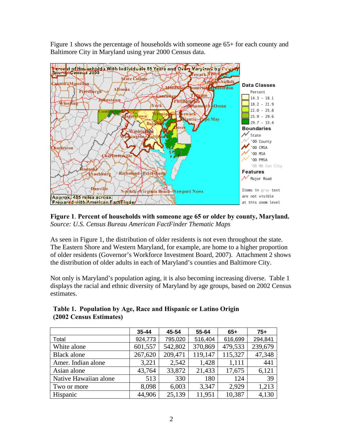Figure 1 shows the percentage of households with someone age 65+ for each county and Baltimore City in Maryland using year 2000 Census data.



**Figure 1**. **Percent of households with someone age 65 or older by county, Maryland.** *Source: [U.S. Census Bureau American FactFinder Thematic Maps](http://www.elderweb.com/home/node/2872)*

As seen in Figure 1, the distribution of older residents is not even throughout the state. The Eastern Shore and Western Maryland, for example, are home to a higher proportion of older residents (Governor's Workforce Investment Board, 2007). Attachment 2 shows the distribution of older adults in each of Maryland's counties and Baltimore City.

Not only is Maryland's population aging, it is also becoming increasing diverse. Table 1 displays the racial and ethnic diversity of Maryland by age groups, based on 2002 Census estimates.

|                       | $35 - 44$ | 45-54   | 55-64   | $65+$   | $75+$   |
|-----------------------|-----------|---------|---------|---------|---------|
| Total                 | 924,773   | 795,020 | 516,404 | 616,699 | 294,841 |
| White alone           | 601,557   | 542,802 | 370,869 | 479,533 | 239,679 |
| <b>Black alone</b>    | 267,620   | 209,471 | 119,147 | 115,327 | 47,348  |
| Amer. Indian alone    | 3,221     | 2,542   | 1,428   | 1,111   | 441     |
| Asian alone           | 43,764    | 33,872  | 21,433  | 17,675  | 6,121   |
| Native Hawaiian alone | 513       | 330     | 180     | 124     | 39      |
| Two or more           | 8,098     | 6,003   | 3,347   | 2,929   | 1,213   |
| Hispanic              | 44,906    | 25,139  | 11,951  | 10,387  | 4,130   |

|                         | Table 1. Population by Age, Race and Hispanic or Latino Origin |
|-------------------------|----------------------------------------------------------------|
| (2002 Census Estimates) |                                                                |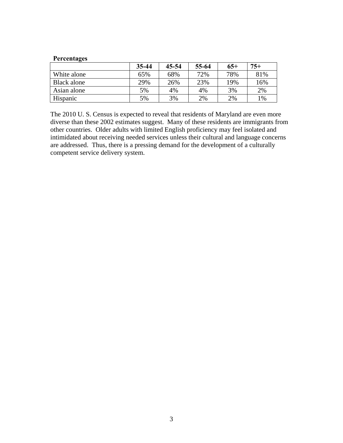#### **Percentages**

|             | 35-44 | 45-54 | 55-64 | $65+$ | $75+$ |
|-------------|-------|-------|-------|-------|-------|
| White alone | 65%   | 68%   | 72%   | 78%   | 81%   |
| Black alone | 29%   | 26%   | 23%   | 19%   | 16%   |
| Asian alone | 5%    | 4%    | 4%    | 3%    | 2%    |
| Hispanic    | 5%    | 3%    | 2%    | 2%    | $1\%$ |

The 2010 U. S. Census is expected to reveal that residents of Maryland are even more diverse than these 2002 estimates suggest. Many of these residents are immigrants from other countries. Older adults with limited English proficiency may feel isolated and intimidated about receiving needed services unless their cultural and language concerns are addressed. Thus, there is a pressing demand for the development of a culturally competent service delivery system.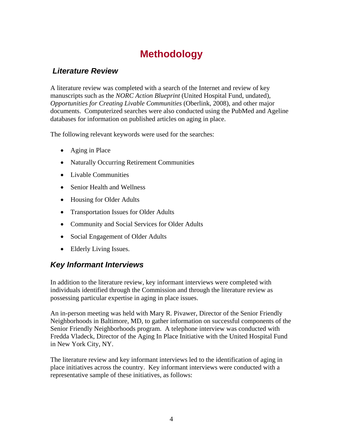# **Methodology**

### <span id="page-15-0"></span> *Literature Review*

A literature review was completed with a search of the Internet and review of key manuscripts such as the *NORC Action Blueprint* (United Hospital Fund, undated), *Opportunities for Creating Livable Communities* (Oberlink, 2008), and other major documents. Computerized searches were also conducted using the PubMed and Ageline databases for information on published articles on aging in place.

The following relevant keywords were used for the searches:

- Aging in Place
- Naturally Occurring Retirement Communities
- Livable Communities
- Senior Health and Wellness
- Housing for Older Adults
- Transportation Issues for Older Adults
- Community and Social Services for Older Adults
- Social Engagement of Older Adults
- Elderly Living Issues.

### *Key Informant Interviews*

In addition to the literature review, key informant interviews were completed with individuals identified through the Commission and through the literature review as possessing particular expertise in aging in place issues.

An in-person meeting was held with Mary R. Pivawer, Director of the Senior Friendly Neighborhoods in Baltimore, MD, to gather information on successful components of the Senior Friendly Neighborhoods program. A telephone interview was conducted with Fredda Vladeck, Director of the Aging In Place Initiative with the United Hospital Fund in New York City, NY.

The literature review and key informant interviews led to the identification of aging in place initiatives across the country. Key informant interviews were conducted with a representative sample of these initiatives, as follows: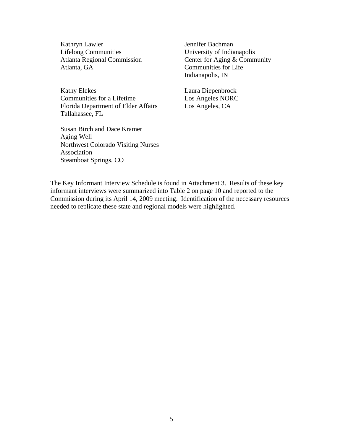Kathryn Lawler Lifelong Communities Atlanta Regional Commission Atlanta, GA

Kathy Elekes Communities for a Lifetime Florida Department of Elder Affairs Tallahassee, FL

Susan Birch and Dace Kramer Aging Well Northwest Colorado Visiting Nurses Association Steamboat Springs, CO

Jennifer Bachman University of Indianapolis Center for Aging & Community Communities for Life Indianapolis, IN

Laura Diepenbrock Los Angeles NORC Los Angeles, CA

The Key Informant Interview Schedule is found in Attachment 3. Results of these key informant interviews were summarized into Table 2 on page 10 and reported to the Commission during its April 14, 2009 meeting. Identification of the necessary resources needed to replicate these state and regional models were highlighted.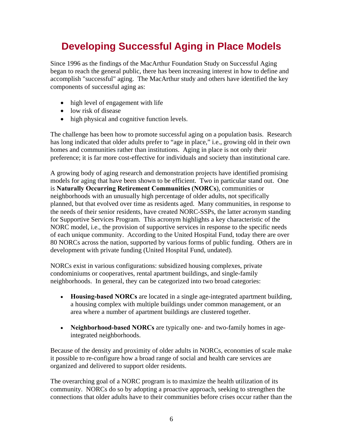# <span id="page-17-0"></span>**Developing Successful Aging in Place Models**

Since 1996 as the findings of the MacArthur Foundation Study on Successful Aging began to reach the general public, there has been increasing interest in how to define and accomplish "successful" aging. The MacArthur study and others have identified the key components of successful aging as:

- high level of engagement with life
- low risk of disease
- high physical and cognitive function levels.

The challenge has been how to promote successful aging on a population basis. Research has long indicated that older adults prefer to "age in place," i.e., growing old in their own homes and communities rather than institutions. Aging in place is not only their preference; it is far more cost-effective for individuals and society than institutional care.

A growing body of aging research and demonstration projects have identified promising models for aging that have been shown to be efficient. Two in particular stand out. One is **Naturally Occurring Retirement Communities (NORCs**), communities or neighborhoods with an unusually high percentage of older adults, not specifically planned, but that evolved over time as residents aged. Many communities, in response to the needs of their senior residents, have created NORC-SSPs, the latter acronym standing for Supportive Services Program. This acronym highlights a key characteristic of the NORC model, i.e., the provision of supportive services in response to the specific needs of each unique community. According to the United Hospital Fund, today there are over 80 NORCs across the nation, supported by various forms of public funding. Others are in development with private funding (United Hospital Fund, undated).

NORCs exist in various configurations: subsidized housing complexes, private condominiums or cooperatives, rental apartment buildings, and single-family neighborhoods. In general, they can be categorized into two broad categories:

- **Housing-based NORCs** are located in a single age-integrated apartment building, a housing complex with multiple buildings under common management, or an area where a number of apartment buildings are clustered together.
- **Neighborhood-based NORCs** are typically one- and two-family homes in ageintegrated neighborhoods.

Because of the density and proximity of older adults in NORCs, economies of scale make it possible to re-configure how a broad range of social and health care services are organized and delivered to support older residents.

The overarching goal of a NORC program is to maximize the health utilization of its community. NORCs do so by adopting a proactive approach, seeking to strengthen the connections that older adults have to their communities before crises occur rather than the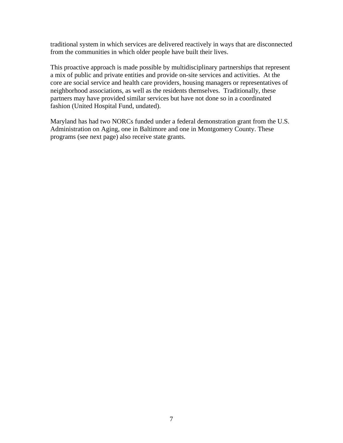traditional system in which services are delivered reactively in ways that are disconnected from the communities in which older people have built their lives.

This proactive approach is made possible by multidisciplinary partnerships that represent a mix of public and private entities and provide on-site services and activities. At the core are social service and health care providers, housing managers or representatives of neighborhood associations, as well as the residents themselves. Traditionally, these partners may have provided similar services but have not done so in a coordinated fashion (United Hospital Fund, undated).

Maryland has had two NORCs funded under a federal demonstration grant from the U.S. Administration on Aging, one in Baltimore and one in Montgomery County. These programs (see next page) also receive state grants.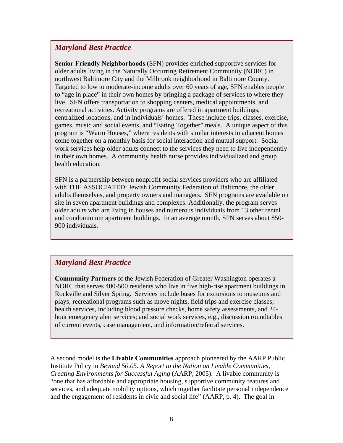### *Maryland Best Practice*

**Senior Friendly Neighborhoods** (SFN) provides enriched supportive services for older adults living in the Naturally Occurring Retirement Community (NORC) in northwest Baltimore City and the Milbrook neighborhood in Baltimore County. Targeted to low to moderate-income adults over 60 years of age, SFN enables people to "age in place" in their own homes by bringing a package of services to where they live. SFN offers transportation to shopping centers, medical appointments, and recreational activities. Activity programs are offered in apartment buildings, centralized locations, and in individuals' homes. These include trips, classes, exercise, games, music and social events, and "Eating Together" meals. A unique aspect of this program is "Warm Houses," where residents with similar interests in adjacent homes come together on a monthly basis for social interaction and mutual support. Social work services help older adults connect to the services they need to live independently in their own homes. A community health nurse provides individualized and group health education.

SFN is a partnership between nonprofit social services providers who are affiliated with THE ASSOCIATED: Jewish Community Federation of Baltimore, the older adults themselves, and property owners and managers. SFN programs are available on site in seven apartment buildings and complexes. Additionally, the program serves older adults who are living in houses and numerous individuals from 13 other rental and condominium apartment buildings. In an average month, SFN serves about 850- 900 individuals.

### *Maryland Best Practice*

**Community Partners** of the Jewish Federation of Greater Washington operates a NORC that serves 400-500 residents who live in five high-rise apartment buildings in Rockville and Silver Spring. Services include buses for excursions to museums and plays; recreational programs such as move nights, field trips and exercise classes; health services, including blood pressure checks, home safety assessments, and 24 hour emergency alert services; and social work services, e.g., discussion roundtables of current events, case management, and information/referral services.

A second model is the **Livable Communities** approach pioneered by the AARP Public Institute Policy in *Beyond 50.05. A Report to the Nation on Livable Communities, Creating Environments for Successful Aging* (AARP, 2005). A livable community is "one that has affordable and appropriate housing, supportive community features and services, and adequate mobility options, which together facilitate personal independence and the engagement of residents in civic and social life" (AARP, p. 4). The goal in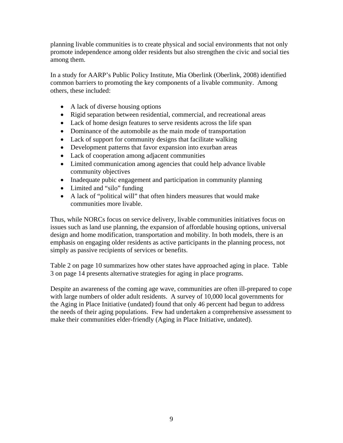planning livable communities is to create physical and social environments that not only promote independence among older residents but also strengthen the civic and social ties among them.

In a study for AARP's Public Policy Institute, Mia Oberlink (Oberlink, 2008) identified common barriers to promoting the key components of a livable community. Among others, these included:

- A lack of diverse housing options
- Rigid separation between residential, commercial, and recreational areas
- Lack of home design features to serve residents across the life span
- Dominance of the automobile as the main mode of transportation
- Lack of support for community designs that facilitate walking
- Development patterns that favor expansion into exurban areas
- Lack of cooperation among adjacent communities
- Limited communication among agencies that could help advance livable community objectives
- Inadequate pubic engagement and participation in community planning
- Limited and "silo" funding
- A lack of "political will" that often hinders measures that would make communities more livable.

Thus, while NORCs focus on service delivery, livable communities initiatives focus on issues such as land use planning, the expansion of affordable housing options, universal design and home modification, transportation and mobility. In both models, there is an emphasis on engaging older residents as active participants in the planning process, not simply as passive recipients of services or benefits.

Table 2 on page 10 summarizes how other states have approached aging in place. Table 3 on page 14 presents alternative strategies for aging in place programs.

Despite an awareness of the coming age wave, communities are often ill-prepared to cope with large numbers of older adult residents. A survey of 10,000 local governments for the Aging in Place Initiative (undated) found that only 46 percent had begun to address the needs of their aging populations. Few had undertaken a comprehensive assessment to make their communities elder-friendly (Aging in Place Initiative, undated).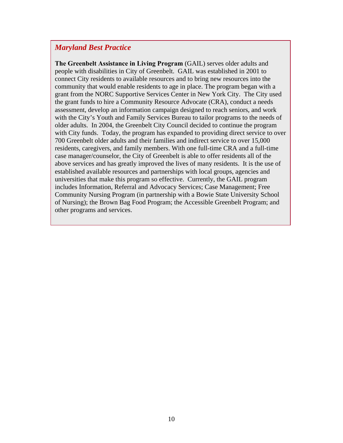### *Maryland Best Practice*

**The Greenbelt Assistance in Living Program** (GAIL) serves older adults and people with disabilities in City of Greenbelt. GAIL was established in 2001 to connect City residents to available resources and to bring new resources into the community that would enable residents to age in place. The program began with a grant from the NORC Supportive Services Center in New York City. The City used the grant funds to hire a Community Resource Advocate (CRA), conduct a needs assessment, develop an information campaign designed to reach seniors, and work with the City's Youth and Family Services Bureau to tailor programs to the needs of older adults. In 2004, the Greenbelt City Council decided to continue the program with City funds. Today, the program has expanded to providing direct service to over 700 Greenbelt older adults and their families and indirect service to over 15,000 residents, caregivers, and family members. With one full-time CRA and a full-time case manager/counselor, the City of Greenbelt is able to offer residents all of the above services and has greatly improved the lives of many residents. It is the use of established available resources and partnerships with local groups, agencies and universities that make this program so effective. Currently, the GAIL program includes Information, Referral and Advocacy Services; Case Management; Free Community Nursing Program (in partnership with a Bowie State University School of Nursing); the Brown Bag Food Program; the Accessible Greenbelt Program; and other programs and services.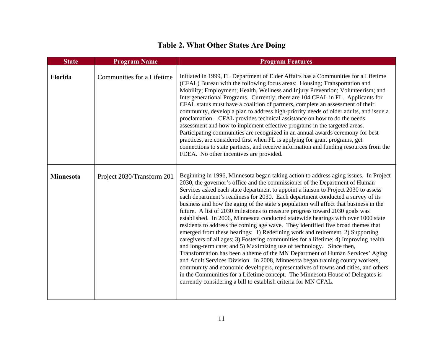### **Table 2. What Other States Are Doing**

| <b>State</b>     | <b>Program Name</b>        | <b>Program Features</b>                                                                                                                                                                                                                                                                                                                                                                                                                                                                                                                                                                                                                                                                                                                                                                                                                                                                                                                                                                                                                                                                                                                                                                                                                                                                                                                                       |
|------------------|----------------------------|---------------------------------------------------------------------------------------------------------------------------------------------------------------------------------------------------------------------------------------------------------------------------------------------------------------------------------------------------------------------------------------------------------------------------------------------------------------------------------------------------------------------------------------------------------------------------------------------------------------------------------------------------------------------------------------------------------------------------------------------------------------------------------------------------------------------------------------------------------------------------------------------------------------------------------------------------------------------------------------------------------------------------------------------------------------------------------------------------------------------------------------------------------------------------------------------------------------------------------------------------------------------------------------------------------------------------------------------------------------|
| Florida          | Communities for a Lifetime | Initiated in 1999, FL Department of Elder Affairs has a Communities for a Lifetime<br>(CFAL) Bureau with the following focus areas: Housing; Transportation and<br>Mobility; Employment; Health, Wellness and Injury Prevention; Volunteerism; and<br>Intergenerational Programs. Currently, there are 104 CFAL in FL. Applicants for<br>CFAL status must have a coalition of partners, complete an assessment of their<br>community, develop a plan to address high-priority needs of older adults, and issue a<br>proclamation. CFAL provides technical assistance on how to do the needs<br>assessment and how to implement effective programs in the targeted areas.<br>Participating communities are recognized in an annual awards ceremony for best<br>practices, are considered first when FL is applying for grant programs, get<br>connections to state partners, and receive information and funding resources from the<br>FDEA. No other incentives are provided.                                                                                                                                                                                                                                                                                                                                                                                 |
| <b>Minnesota</b> | Project 2030/Transform 201 | Beginning in 1996, Minnesota began taking action to address aging issues. In Project<br>2030, the governor's office and the commissioner of the Department of Human<br>Services asked each state department to appoint a liaison to Project 2030 to assess<br>each department's readiness for 2030. Each department conducted a survey of its<br>business and how the aging of the state's population will affect that business in the<br>future. A list of 2030 milestones to measure progress toward 2030 goals was<br>established. In 2006, Minnesota conducted statewide hearings with over 1000 state<br>residents to address the coming age wave. They identified five broad themes that<br>emerged from these hearings: 1) Redefining work and retirement, 2) Supporting<br>caregivers of all ages; 3) Fostering communities for a lifetime; 4) Improving health<br>and long-term care; and 5) Maximizing use of technology. Since then,<br>Transformation has been a theme of the MN Department of Human Services' Aging<br>and Adult Services Division. In 2008, Minnesota began training county workers,<br>community and economic developers, representatives of towns and cities, and others<br>in the Communities for a Lifetime concept. The Minnesota House of Delegates is<br>currently considering a bill to establish criteria for MN CFAL. |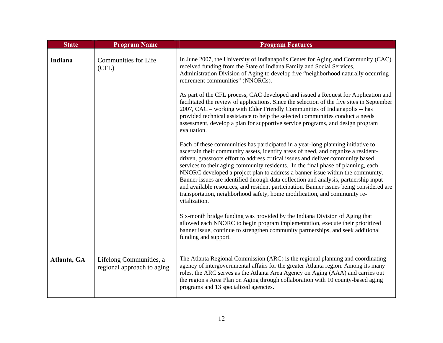| <b>State</b> | <b>Program Name</b>                                   | <b>Program Features</b>                                                                                                                                                                                                                                                                                                                                                                                                                                                                                                                                                                                                                                                                                            |
|--------------|-------------------------------------------------------|--------------------------------------------------------------------------------------------------------------------------------------------------------------------------------------------------------------------------------------------------------------------------------------------------------------------------------------------------------------------------------------------------------------------------------------------------------------------------------------------------------------------------------------------------------------------------------------------------------------------------------------------------------------------------------------------------------------------|
| Indiana      | <b>Communities for Life</b><br>(CFL)                  | In June 2007, the University of Indianapolis Center for Aging and Community (CAC)<br>received funding from the State of Indiana Family and Social Services,<br>Administration Division of Aging to develop five "neighborhood naturally occurring<br>retirement communities" (NNORCs).                                                                                                                                                                                                                                                                                                                                                                                                                             |
|              |                                                       | As part of the CFL process, CAC developed and issued a Request for Application and<br>facilitated the review of applications. Since the selection of the five sites in September<br>2007, CAC - working with Elder Friendly Communities of Indianapolis -- has<br>provided technical assistance to help the selected communities conduct a needs<br>assessment, develop a plan for supportive service programs, and design program<br>evaluation.                                                                                                                                                                                                                                                                  |
|              |                                                       | Each of these communities has participated in a year-long planning initiative to<br>ascertain their community assets, identify areas of need, and organize a resident-<br>driven, grassroots effort to address critical issues and deliver community based<br>services to their aging community residents. In the final phase of planning, each<br>NNORC developed a project plan to address a banner issue within the community.<br>Banner issues are identified through data collection and analysis, partnership input<br>and available resources, and resident participation. Banner issues being considered are<br>transportation, neighborhood safety, home modification, and community re-<br>vitalization. |
|              |                                                       | Six-month bridge funding was provided by the Indiana Division of Aging that<br>allowed each NNORC to begin program implementation, execute their prioritized<br>banner issue, continue to strengthen community partnerships, and seek additional<br>funding and support.                                                                                                                                                                                                                                                                                                                                                                                                                                           |
| Atlanta, GA  | Lifelong Communities, a<br>regional approach to aging | The Atlanta Regional Commission (ARC) is the regional planning and coordinating<br>agency of intergovernmental affairs for the greater Atlanta region. Among its many<br>roles, the ARC serves as the Atlanta Area Agency on Aging (AAA) and carries out<br>the region's Area Plan on Aging through collaboration with 10 county-based aging<br>programs and 13 specialized agencies.                                                                                                                                                                                                                                                                                                                              |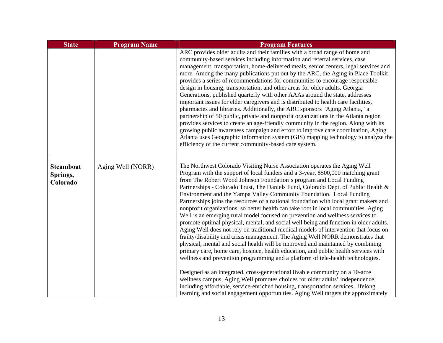| <b>State</b>                             | <b>Program Name</b> | <b>Program Features</b>                                                                                                                                                                                                                                                                                                                                                                                                                                                                                                                                                                                                                                                                                                                                                                                                                                                                                                                                                                                                                                                                                                                                                                                                                                                                                                                                                                                                                                                                                                                          |
|------------------------------------------|---------------------|--------------------------------------------------------------------------------------------------------------------------------------------------------------------------------------------------------------------------------------------------------------------------------------------------------------------------------------------------------------------------------------------------------------------------------------------------------------------------------------------------------------------------------------------------------------------------------------------------------------------------------------------------------------------------------------------------------------------------------------------------------------------------------------------------------------------------------------------------------------------------------------------------------------------------------------------------------------------------------------------------------------------------------------------------------------------------------------------------------------------------------------------------------------------------------------------------------------------------------------------------------------------------------------------------------------------------------------------------------------------------------------------------------------------------------------------------------------------------------------------------------------------------------------------------|
|                                          |                     | ARC provides older adults and their families with a broad range of home and<br>community-based services including information and referral services, case<br>management, transportation, home-delivered meals, senior centers, legal services and<br>more. Among the many publications put out by the ARC, the Aging in Place Toolkit<br>provides a series of recommendations for communities to encourage responsible<br>design in housing, transportation, and other areas for older adults. Georgia<br>Generations, published quarterly with other AAAs around the state, addresses<br>important issues for elder caregivers and is distributed to health care facilities,<br>pharmacies and libraries. Additionally, the ARC sponsors "Aging Atlanta," a<br>partnership of 50 public, private and nonprofit organizations in the Atlanta region<br>provides services to create an age-friendly community in the region. Along with its<br>growing public awareness campaign and effort to improve care coordination, Aging<br>Atlanta uses Geographic information system (GIS) mapping technology to analyze the<br>efficiency of the current community-based care system.                                                                                                                                                                                                                                                                                                                                                                   |
| <b>Steamboat</b><br>Springs,<br>Colorado | Aging Well (NORR)   | The Northwest Colorado Visiting Nurse Association operates the Aging Well<br>Program with the support of local funders and a 3-year, \$500,000 matching grant<br>from The Robert Wood Johnson Foundation's program and Local Funding<br>Partnerships - Colorado Trust, The Daniels Fund, Colorado Dept. of Public Health &<br>Environment and the Yampa Valley Community Foundation. Local Funding<br>Partnerships joins the resources of a national foundation with local grant makers and<br>nonprofit organizations, so better health can take root in local communities. Aging<br>Well is an emerging rural model focused on prevention and wellness services to<br>promote optimal physical, mental, and social well being and function in older adults.<br>Aging Well does not rely on traditional medical models of intervention that focus on<br>frailty/disability and crisis management. The Aging Well NORR demonstrates that<br>physical, mental and social health will be improved and maintained by combining<br>primary care, home care, hospice, health education, and public health services with<br>wellness and prevention programming and a platform of tele-health technologies.<br>Designed as an integrated, cross-generational livable community on a 10-acre<br>wellness campus, Aging Well promotes choices for older adults' independence,<br>including affordable, service-enriched housing, transportation services, lifelong<br>learning and social engagement opportunities. Aging Well targets the approximately |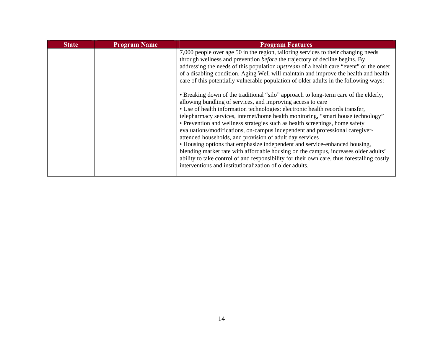| <b>State</b> | <b>Program Name</b> | <b>Program Features</b>                                                                                                                                                                                                                                                                                                                                                                                                                                                                                                                                                                                                                                                                                                                                                                                                                                                           |
|--------------|---------------------|-----------------------------------------------------------------------------------------------------------------------------------------------------------------------------------------------------------------------------------------------------------------------------------------------------------------------------------------------------------------------------------------------------------------------------------------------------------------------------------------------------------------------------------------------------------------------------------------------------------------------------------------------------------------------------------------------------------------------------------------------------------------------------------------------------------------------------------------------------------------------------------|
|              |                     | 7,000 people over age 50 in the region, tailoring services to their changing needs<br>through wellness and prevention <i>before</i> the trajectory of decline begins. By<br>addressing the needs of this population <i>upstream</i> of a health care "event" or the onset<br>of a disabling condition, Aging Well will maintain and improve the health and health<br>care of this potentially vulnerable population of older adults in the following ways:                                                                                                                                                                                                                                                                                                                                                                                                                        |
|              |                     | • Breaking down of the traditional "silo" approach to long-term care of the elderly,<br>allowing bundling of services, and improving access to care<br>• Use of health information technologies: electronic health records transfer,<br>telepharmacy services, internet/home health monitoring, "smart house technology"<br>• Prevention and wellness strategies such as health screenings, home safety<br>evaluations/modifications, on-campus independent and professional caregiver-<br>attended households, and provision of adult day services<br>• Housing options that emphasize independent and service-enhanced housing,<br>blending market rate with affordable housing on the campus, increases older adults'<br>ability to take control of and responsibility for their own care, thus forestalling costly<br>interventions and institutionalization of older adults. |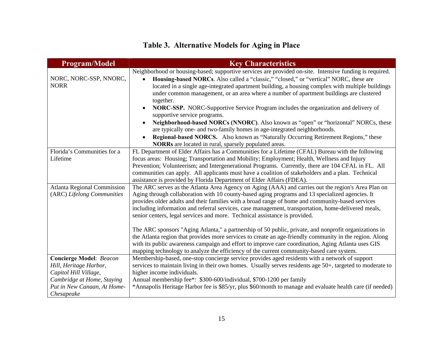### **Table 3. Alternative Models for Aging in Place**

| <b>Program/Model</b>                  | <b>Key Characteristics</b>                                                                                                                                                                                                                                                                                                                                                                                   |
|---------------------------------------|--------------------------------------------------------------------------------------------------------------------------------------------------------------------------------------------------------------------------------------------------------------------------------------------------------------------------------------------------------------------------------------------------------------|
| NORC, NORC-SSP, NNORC,<br><b>NORR</b> | Neighborhood or housing-based; supportive services are provided on-site. Intensive funding is required.<br>Housing-based NORCs. Also called a "classic," "closed," or "vertical" NORC, these are<br>located in a single age-integrated apartment building, a housing complex with multiple buildings<br>under common management, or an area where a number of apartment buildings are clustered<br>together. |
|                                       | <b>NORC-SSP.</b> NORC-Supportive Service Program includes the organization and delivery of<br>supportive service programs.<br>Neighborhood-based NORCs (NNORC). Also known as "open" or "horizontal" NORCs, these                                                                                                                                                                                            |
|                                       | are typically one- and two-family homes in age-integrated neighborhoods.<br>Regional-based NORCS. Also known as "Naturally Occurring Retirement Regions," these<br>$\bullet$                                                                                                                                                                                                                                 |
|                                       | <b>NORRs</b> are located in rural, sparsely populated areas.                                                                                                                                                                                                                                                                                                                                                 |
| Florida's Communities for a           | FL Department of Elder Affairs has a Communities for a Lifetime (CFAL) Bureau with the following                                                                                                                                                                                                                                                                                                             |
| Lifetime                              | focus areas: Housing; Transportation and Mobility; Employment; Health, Wellness and Injury                                                                                                                                                                                                                                                                                                                   |
|                                       | Prevention; Volunteerism; and Intergenerational Programs. Currently, there are 104 CFAL in FL. All                                                                                                                                                                                                                                                                                                           |
|                                       | communities can apply. All applicants must have a coalition of stakeholders and a plan. Technical                                                                                                                                                                                                                                                                                                            |
|                                       | assistance is provided by Florida Department of Elder Affairs (FDEA).                                                                                                                                                                                                                                                                                                                                        |
| <b>Atlanta Regional Commission</b>    | The ARC serves as the Atlanta Area Agency on Aging (AAA) and carries out the region's Area Plan on                                                                                                                                                                                                                                                                                                           |
| (ARC) Lifelong Communities            | Aging through collaboration with 10 county-based aging programs and 13 specialized agencies. It                                                                                                                                                                                                                                                                                                              |
|                                       | provides older adults and their families with a broad range of home and community-based services                                                                                                                                                                                                                                                                                                             |
|                                       | including information and referral services, case management, transportation, home-delivered meals,                                                                                                                                                                                                                                                                                                          |
|                                       | senior centers, legal services and more. Technical assistance is provided.                                                                                                                                                                                                                                                                                                                                   |
|                                       | The ARC sponsors "Aging Atlanta," a partnership of 50 public, private, and nonprofit organizations in                                                                                                                                                                                                                                                                                                        |
|                                       | the Atlanta region that provides more services to create an age-friendly community in the region. Along                                                                                                                                                                                                                                                                                                      |
|                                       | with its public awareness campaign and effort to improve care coordination, Aging Atlanta uses GIS<br>mapping technology to analyze the efficiency of the current community-based care system.                                                                                                                                                                                                               |
| <b>Concierge Model: Beacon</b>        | Membership-based, one-stop concierge service provides aged residents with a network of support                                                                                                                                                                                                                                                                                                               |
| Hill, Heritage Harbor,                | services to maintain living in their own homes. Usually serves residents age 50+, targeted to moderate to                                                                                                                                                                                                                                                                                                    |
| Capitol Hill Village,                 | higher income individuals.                                                                                                                                                                                                                                                                                                                                                                                   |
| Cambridge at Home, Staying            | Annual membership fee*: \$300-600/individual, \$700-1200 per family                                                                                                                                                                                                                                                                                                                                          |
| Put in New Canaan, At Home-           | *Annapolis Heritage Harbor fee is \$85/yr, plus \$60/month to manage and evaluate health care (if needed)                                                                                                                                                                                                                                                                                                    |
| Chesapeake                            |                                                                                                                                                                                                                                                                                                                                                                                                              |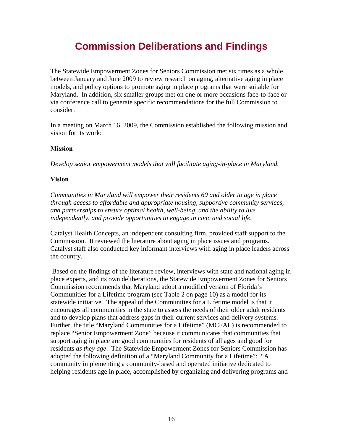# **Commission Deliberations and Findings**

<span id="page-27-0"></span>The Statewide Empowerment Zones for Seniors Commission met six times as a whole between January and June 2009 to review research on aging, alternative aging in place models, and policy options to promote aging in place programs that were suitable for Maryland. In addition, six smaller groups met on one or more occasions face-to-face or via conference call to generate specific recommendations for the full Commission to consider.

In a meeting on March 16, 2009, the Commission established the following mission and vision for its work:

### **Mission**

*Develop senior empowerment models that will facilitate aging-in-place in Maryland.* 

### **Vision**

*Communities in Maryland will empower their residents 60 and older to age in place through access to affordable and appropriate housing, supportive community services, and partnerships to ensure optimal health, well-being, and the ability to live independently, and provide opportunities to engage in civic and social life.* 

Catalyst Health Concepts, an independent consulting firm, provided staff support to the Commission. It reviewed the literature about aging in place issues and programs. Catalyst staff also conducted key informant interviews with aging in place leaders across the country.

 Based on the findings of the literature review, interviews with state and national aging in place experts, and its own deliberations, the Statewide Empowerment Zones for Seniors Commission recommends that Maryland adopt a modified version of Florida's Communities for a Lifetime program (see Table 2 on page 10) as a model for its statewide initiative. The appeal of the Communities for a Lifetime model is that it encourages all communities in the state to assess the needs of their older adult residents and to develop plans that address gaps in their current services and delivery systems. Further, the title "Maryland Communities for a Lifetime" (MCFAL) is recommended to replace "Senior Empowerment Zone" because it communicates that communities that support aging in place are good communities for residents of all ages and good for residents *as they age*. The Statewide Empowerment Zones for Seniors Commission has adopted the following definition of a "Maryland Community for a Lifetime": "A community implementing a community-based and operated initiative dedicated to helping residents age in place, accomplished by organizing and delivering programs and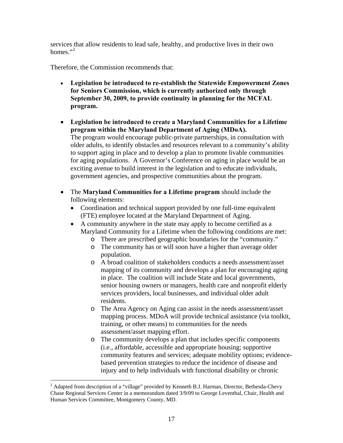<span id="page-28-0"></span>services that allow residents to lead safe, healthy, and productive lives in their own homes." $^2$  $^2$ 

Therefore, the Commission recommends that:

- **Legislation be introduced to re-establish the Statewide Empowerment Zones for Seniors Commission, which is currently authorized only through September 30, 2009, to provide continuity in planning for the MCFAL program.**
- **Legislation be introduced to create a Maryland Communities for a Lifetime program within the Maryland Department of Aging (MDoA).**  The program would encourage public-private partnerships, in consultation with older adults, to identify obstacles and resources relevant to a community's ability to support aging in place and to develop a plan to promote livable communities for aging populations. A Governor's Conference on aging in place would be an exciting avenue to build interest in the legislation and to educate individuals, government agencies, and prospective communities about the program.
- The **Maryland Communities for a Lifetime program** should include the following elements:
	- Coordination and technical support provided by one full-time equivalent (FTE) employee located at the Maryland Department of Aging.
	- A community anywhere in the state may apply to become certified as a Maryland Community for a Lifetime when the following conditions are met:
		- o There are prescribed geographic boundaries for the "community."
		- o The community has or will soon have a higher than average older population.
		- o A broad coalition of stakeholders conducts a needs assessment/asset mapping of its community and develops a plan for encouraging aging in place. The coalition will include State and local governments, senior housing owners or managers, health care and nonprofit elderly services providers, local businesses, and individual older adult residents.
		- o The Area Agency on Aging can assist in the needs assessment/asset mapping process. MDoA will provide technical assistance (via toolkit, training, or other means) to communities for the needs assessment/asset mapping effort.
		- o The community develops a plan that includes specific components (i.e., affordable, accessible and appropriate housing; supportive community features and services; adequate mobility options; evidencebased prevention strategies to reduce the incidence of disease and injury and to help individuals with functional disability or chronic

 $\overline{a}$ 

<sup>&</sup>lt;sup>2</sup> Adapted from description of a "village" provided by Kenneth B.J. Harman, Director, Bethesda-Chevy Chase Regional Services Center in a memorandum dated 3/9/09 to George Leventhal, Chair, Health and Human Services Committee, Montgomery County, MD.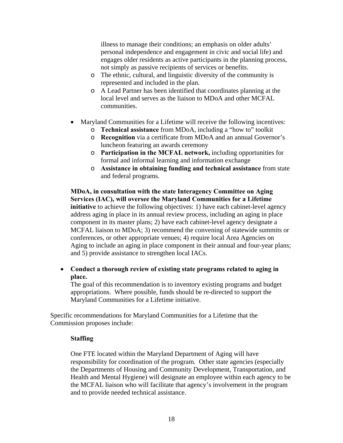illness to manage their conditions; an emphasis on older adults' personal independence and engagement in civic and social life) and engages older residents as active participants in the planning process, not simply as passive recipients of services or benefits.

- o The ethnic, cultural, and linguistic diversity of the community is represented and included in the plan.
- o A Lead Partner has been identified that coordinates planning at the local level and serves as the liaison to MDoA and other MCFAL communities.
- Maryland Communities for a Lifetime will receive the following incentives:
	- o **Technical assistance** from MDoA, including a "how to" toolkit
	- o **Recognition** via a certificate from MDoA and an annual Governor's luncheon featuring an awards ceremony
	- o **Participation in the MCFAL network,** including opportunities for formal and informal learning and information exchange
	- o **Assistance in obtaining funding and technical assistance** from state and federal programs.

#### **MDoA, in consultation with the state Interagency Committee on Aging Services (IAC), will oversee the Maryland Communities for a Lifetime initiative** to achieve the following objectives: 1) have each cabinet-level agency address aging in place in its annual review process, including an aging in place component in its master plans; 2) have each cabinet-level agency designate a MCFAL liaison to MDoA; 3) recommend the convening of statewide summits or conferences, or other appropriate venues; 4) require local Area Agencies on Aging to include an aging in place component in their annual and four-year plans; and 5) provide assistance to strengthen local IACs.

### • **Conduct a thorough review of existing state programs related to aging in place.**

The goal of this recommendation is to inventory existing programs and budget appropriations. Where possible, funds should be re-directed to support the Maryland Communities for a Lifetime initiative.

Specific recommendations for Maryland Communities for a Lifetime that the Commission proposes include:

### **Staffing**

One FTE located within the Maryland Department of Aging will have responsibility for coordination of the program. Other state agencies (especially the Departments of Housing and Community Development, Transportation, and Health and Mental Hygiene) will designate an employee within each agency to be the MCFAL liaison who will facilitate that agency's involvement in the program and to provide needed technical assistance.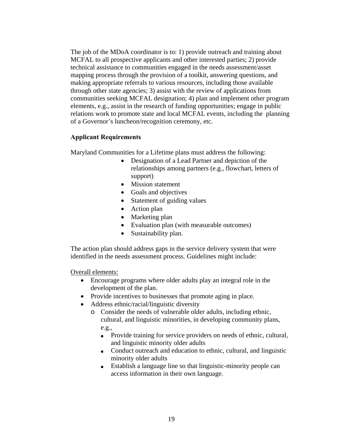The job of the MDoA coordinator is to: 1) provide outreach and training about MCFAL to all prospective applicants and other interested parties; 2) provide technical assistance to communities engaged in the needs assessment/asset mapping process through the provision of a toolkit, answering questions, and making appropriate referrals to various resources, including those available through other state agencies; 3) assist with the review of applications from communities seeking MCFAL designation; 4) plan and implement other program elements, e.g., assist in the research of funding opportunities; engage in public relations work to promote state and local MCFAL events, including the planning of a Governor's luncheon/recognition ceremony, etc.

### **Applicant Requirements**

Maryland Communities for a Lifetime plans must address the following:

- Designation of a Lead Partner and depiction of the relationships among partners (e.g., flowchart, letters of support)
- Mission statement
- Goals and objectives
- Statement of guiding values
- Action plan
- Marketing plan
- Evaluation plan (with measurable outcomes)
- Sustainability plan.

The action plan should address gaps in the service delivery system that were identified in the needs assessment process. Guidelines might include:

Overall elements:

- Encourage programs where older adults play an integral role in the development of the plan.
- Provide incentives to businesses that promote aging in place.
- Address ethnic/racial/linguistic diversity
	- o Consider the needs of vulnerable older adults, including ethnic, cultural, and linguistic minorities, in developing community plans, e.g.,
		- Provide training for service providers on needs of ethnic, cultural, and linguistic minority older adults
		- Conduct outreach and education to ethnic, cultural, and linguistic minority older adults
		- **■** Establish a language line so that linguistic-minority people can access information in their own language.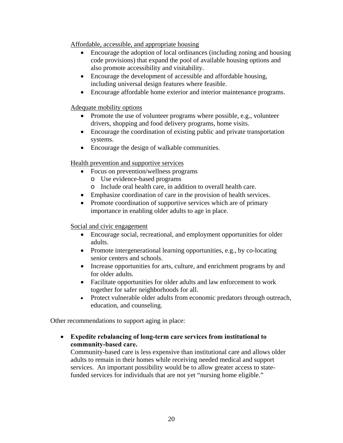Affordable, accessible, and appropriate housing

- Encourage the adoption of local ordinances (including zoning and housing code provisions) that expand the pool of available housing options and also promote accessibility and visitability.
- Encourage the development of accessible and affordable housing, including universal design features where feasible.
- Encourage affordable home exterior and interior maintenance programs.

### Adequate mobility options

- Promote the use of volunteer programs where possible, e.g., volunteer drivers, shopping and food delivery programs, home visits.
- Encourage the coordination of existing public and private transportation systems.
- Encourage the design of walkable communities.

### Health prevention and supportive services

- Focus on prevention/wellness programs
	- o Use evidence-based programs
	- o Include oral health care, in addition to overall health care.
- Emphasize coordination of care in the provision of health services.
- Promote coordination of supportive services which are of primary importance in enabling older adults to age in place.

### Social and civic engagement

- Encourage social, recreational, and employment opportunities for older adults.
- Promote intergenerational learning opportunities, e.g., by co-locating senior centers and schools.
- Increase opportunities for arts, culture, and enrichment programs by and for older adults.
- Facilitate opportunities for older adults and law enforcement to work together for safer neighborhoods for all.
- Protect vulnerable older adults from economic predators through outreach, education, and counseling.

Other recommendations to support aging in place:

• **Expedite rebalancing of long-term care services from institutional to community-based care.** 

Community-based care is less expensive than institutional care and allows older adults to remain in their homes while receiving needed medical and support services. An important possibility would be to allow greater access to statefunded services for individuals that are not yet "nursing home eligible."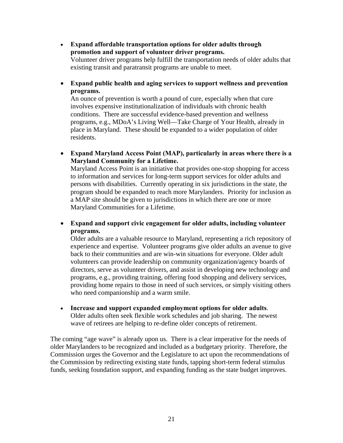• **Expand affordable transportation options for older adults through promotion and support of volunteer driver programs.**  Volunteer driver programs help fulfill the transportation needs of older adults that existing transit and paratransit programs are unable to meet.

• **Expand public health and aging services to support wellness and prevention programs.** 

An ounce of prevention is worth a pound of cure, especially when that cure involves expensive institutionalization of individuals with chronic health conditions. There are successful evidence-based prevention and wellness programs, e.g., MDoA's Living Well—Take Charge of Your Health, already in place in Maryland. These should be expanded to a wider population of older residents.

• **Expand Maryland Access Point (MAP), particularly in areas where there is a Maryland Community for a Lifetime.** 

Maryland Access Point is an initiative that provides one-stop shopping for access to information and services for long-term support services for older adults and persons with disabilities. Currently operating in six jurisdictions in the state, the program should be expanded to reach more Marylanders. Priority for inclusion as a MAP site should be given to jurisdictions in which there are one or more Maryland Communities for a Lifetime.

• **Expand and support civic engagement for older adults, including volunteer programs.** 

Older adults are a valuable resource to Maryland, representing a rich repository of experience and expertise. Volunteer programs give older adults an avenue to give back to their communities and are win-win situations for everyone. Older adult volunteers can provide leadership on community organization/agency boards of directors, serve as volunteer drivers, and assist in developing new technology and programs, e.g., providing training, offering food shopping and delivery services, providing home repairs to those in need of such services, or simply visiting others who need companionship and a warm smile.

• **Increase and support expanded employment options for older adults**. Older adults often seek flexible work schedules and job sharing. The newest wave of retirees are helping to re-define older concepts of retirement.

The coming "age wave" is already upon us. There is a clear imperative for the needs of older Marylanders to be recognized and included as a budgetary priority. Therefore, the Commission urges the Governor and the Legislature to act upon the recommendations of the Commission by redirecting existing state funds, tapping short-term federal stimulus funds, seeking foundation support, and expanding funding as the state budget improves.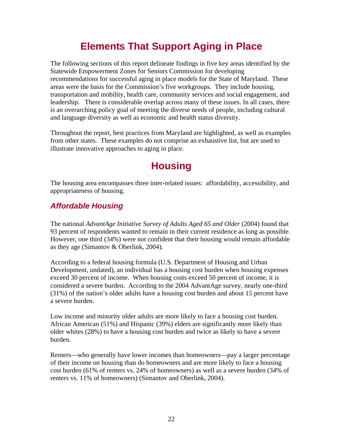# **Elements That Support Aging in Place**

<span id="page-33-0"></span>The following sections of this report delineate findings in five key areas identified by the Statewide Empowerment Zones for Seniors Commission for developing recommendations for successful aging in place models for the State of Maryland. These areas were the basis for the Commission's five workgroups. They include housing, transportation and mobility, health care, community services and social engagement, and leadership. There is considerable overlap across many of these issues. In all cases, there is an overarching policy goal of meeting the diverse needs of people, including cultural and language diversity as well as economic and health status diversity.

Throughout the report, best practices from Maryland are highlighted, as well as examples from other states. These examples do not comprise an exhaustive list, but are used to illustrate innovative approaches to aging in place.

# **Housing**

The housing area encompasses three inter-related issues: affordability, accessibility, and appropriateness of housing.

### *Affordable Housing*

The national *AdvantAge Initiative Survey of Adults Aged 65 and Older* (2004) found that 93 percent of respondents wanted to remain in their current residence as long as possible. However, one third (34%) were not confident that their housing would remain affordable as they age (Simantov & Oberlink, 2004).

According to a federal housing formula (U.S. Department of Housing and Urban Development, undated), an individual has a housing cost burden when housing expenses exceed 30 percent of income. When housing costs exceed 50 percent of income, it is considered a severe burden. According to the 2004 AdvantAge survey, nearly one-third (31%) of the nation's older adults have a housing cost burden and about 15 percent have a severe burden.

Low income and minority older adults are more likely to face a housing cost burden. African American (51%) and Hispanic (39%) elders are significantly more likely than older whites (28%) to have a housing cost burden and twice as likely to have a severe burden.

Renters—who generally have lower incomes than homeowners—pay a larger percentage of their income on housing than do homeowners and are more likely to face a housing cost burden (61% of renters vs. 24% of homeowners) as well as a severe burden (34% of renters vs. 11% of homeowners) (Simantov and Oberlink, 2004).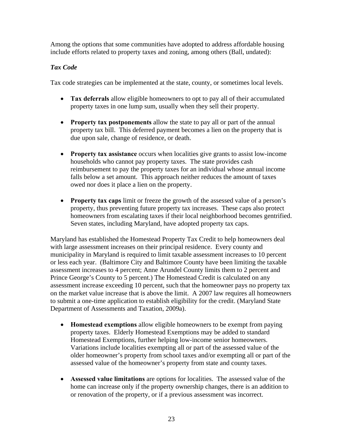Among the options that some communities have adopted to address affordable housing include efforts related to property taxes and zoning, among others (Ball, undated):

### *Tax Code*

Tax code strategies can be implemented at the state, county, or sometimes local levels.

- **Tax deferrals** allow eligible homeowners to opt to pay all of their accumulated property taxes in one lump sum, usually when they sell their property.
- **Property tax postponements** allow the state to pay all or part of the annual property tax bill. This deferred payment becomes a lien on the property that is due upon sale, change of residence, or death.
- **Property tax assistance** occurs when localities give grants to assist low-income households who cannot pay property taxes. The state provides cash reimbursement to pay the property taxes for an individual whose annual income falls below a set amount. This approach neither reduces the amount of taxes owed nor does it place a lien on the property.
- **Property tax caps** limit or freeze the growth of the assessed value of a person's property, thus preventing future property tax increases. These caps also protect homeowners from escalating taxes if their local neighborhood becomes gentrified. Seven states, including Maryland, have adopted property tax caps.

Maryland has established the Homestead Property Tax Credit to help homeowners deal with large assessment increases on their principal residence. Every county and municipality in Maryland is required to limit taxable assessment increases to 10 percent or less each year. (Baltimore City and Baltimore County have been limiting the taxable assessment increases to 4 percent; Anne Arundel County limits them to 2 percent and Prince George's County to 5 percent.) The Homestead Credit is calculated on any assessment increase exceeding 10 percent, such that the homeowner pays no property tax on the market value increase that is above the limit. A 2007 law requires all homeowners to submit a one-time application to establish eligibility for the credit. (Maryland State Department of Assessments and Taxation, 2009a).

- **Homestead exemptions** allow eligible homeowners to be exempt from paying property taxes. Elderly Homestead Exemptions may be added to standard Homestead Exemptions, further helping low-income senior homeowners. Variations include localities exempting all or part of the assessed value of the older homeowner's property from school taxes and/or exempting all or part of the assessed value of the homeowner's property from state and county taxes.
- **Assessed value limitations** are options for localities. The assessed value of the home can increase only if the property ownership changes, there is an addition to or renovation of the property, or if a previous assessment was incorrect.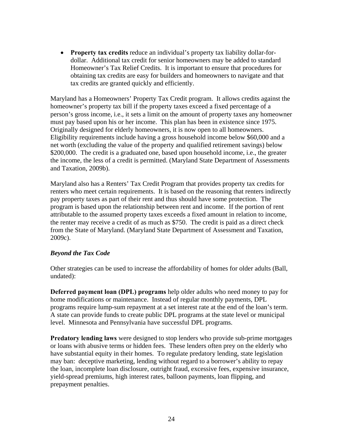• **Property tax credits** reduce an individual's property tax liability dollar-fordollar. Additional tax credit for senior homeowners may be added to standard Homeowner's Tax Relief Credits. It is important to ensure that procedures for obtaining tax credits are easy for builders and homeowners to navigate and that tax credits are granted quickly and efficiently.

Maryland has a Homeowners' Property Tax Credit program. It allows credits against the homeowner's property tax bill if the property taxes exceed a fixed percentage of a person's gross income, i.e., it sets a limit on the amount of property taxes any homeowner must pay based upon his or her income. This plan has been in existence since 1975. Originally designed for elderly homeowners, it is now open to all homeowners. Eligibility requirements include having a gross household income below \$60,000 and a net worth (excluding the value of the property and qualified retirement savings) below \$200,000. The credit is a graduated one, based upon household income, i.e., the greater the income, the less of a credit is permitted. (Maryland State Department of Assessments and Taxation, 2009b).

Maryland also has a Renters' Tax Credit Program that provides property tax credits for renters who meet certain requirements. It is based on the reasoning that renters indirectly pay property taxes as part of their rent and thus should have some protection. The program is based upon the relationship between rent and income. If the portion of rent attributable to the assumed property taxes exceeds a fixed amount in relation to income, the renter may receive a credit of as much as \$750. The credit is paid as a direct check from the State of Maryland. (Maryland State Department of Assessment and Taxation, 2009c).

### *Beyond the Tax Code*

Other strategies can be used to increase the affordability of homes for older adults (Ball, undated):

**Deferred payment loan (DPL) programs** help older adults who need money to pay for home modifications or maintenance. Instead of regular monthly payments, DPL programs require lump-sum repayment at a set interest rate at the end of the loan's term. A state can provide funds to create public DPL programs at the state level or municipal level. Minnesota and Pennsylvania have successful DPL programs.

**Predatory lending laws** were designed to stop lenders who provide sub-prime mortgages or loans with abusive terms or hidden fees. These lenders often prey on the elderly who have substantial equity in their homes. To regulate predatory lending, state legislation may ban: deceptive marketing, lending without regard to a borrower's ability to repay the loan, incomplete loan disclosure, outright fraud, excessive fees, expensive insurance, yield-spread premiums, high interest rates, balloon payments, loan flipping, and prepayment penalties.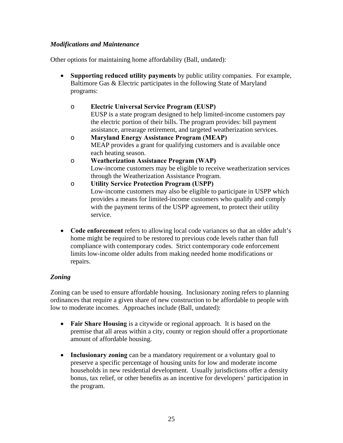#### *Modifications and Maintenance*

Other options for maintaining home affordability (Ball, undated):

- **Supporting reduced utility payments** by public utility companies. For example, Baltimore Gas & Electric participates in the following State of Maryland programs:
	- o **Electric Universal Service Program (EUSP)** EUSP is a state program designed to help limited-income customers pay the electric portion of their bills. The program provides: bill payment assistance, arrearage retirement, and targeted weatherization services.
	- o **Maryland Energy Assistance Program (MEAP)** MEAP provides a grant for qualifying customers and is available once each heating season.
	- o **[Weatherization Assistance Program \(WAP\)](http://www.bge.com/portal/site/bge/menuitem.05fad67ee64079bf9bfe1810016176a0/)**  Low-income customers may be eligible to receive weatherization services through the Weatherization Assistance Program.
	- o **[Utility Service Protection Program \(USPP\)](http://www.bge.com/portal/site/bge/menuitem.05fad67ee64079bf9bfe1810016176a0/)**  [Low-income customers may also be eligible to participate in USPP which](http://www.bge.com/portal/site/bge/menuitem.05fad67ee64079bf9bfe1810016176a0/)  [provides a means for limited-income customers who qualify and comply](http://www.bge.com/portal/site/bge/menuitem.05fad67ee64079bf9bfe1810016176a0/)  with the payment terms of the USPP agreement, to protect their utility [service.](http://www.bge.com/portal/site/bge/menuitem.05fad67ee64079bf9bfe1810016176a0/)
- **Code enforcement** refers to allowing local code variances so that an older adult's home might be required to be restored to previous code levels rather than full compliance with contemporary codes. Strict contemporary code enforcement limits low-income older adults from making needed home modifications or repairs.

### *Zoning*

Zoning can be used to ensure affordable housing. Inclusionary zoning refers to planning ordinances that require a given share of new construction to be affordable to people with low to moderate incomes. Approaches include (Ball, undated):

- **Fair Share Housing** is a citywide or regional approach. It is based on the premise that all areas within a city, county or region should offer a proportionate amount of affordable housing.
- **Inclusionary zoning** can be a mandatory requirement or a voluntary goal to preserve a specific percentage of housing units for low and moderate income households in new residential development. Usually jurisdictions offer a density bonus, tax relief, or other benefits as an incentive for developers' participation in the program.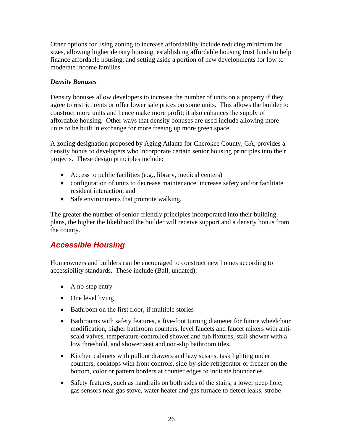Other options for using zoning to increase affordability include reducing minimum lot sizes, allowing higher density housing, establishing affordable housing trust funds to help finance affordable housing, and setting aside a portion of new developments for low to moderate income families.

### *Density Bonuses*

Density bonuses allow developers to increase the number of units on a property if they agree to restrict rents or offer lower sale prices on some units. This allows the builder to construct more units and hence make more profit; it also enhances the supply of affordable housing. Other ways that density bonuses are used include allowing more units to be built in exchange for more freeing up more green space.

A zoning designation proposed by Aging Atlanta for Cherokee County, GA, provides a density bonus to developers who incorporate certain senior housing principles into their projects. These design principles include:

- Access to public facilities (e.g., library, medical centers)
- configuration of units to decrease maintenance, increase safety and/or facilitate resident interaction, and
- Safe environments that promote walking.

The greater the number of senior-friendly principles incorporated into their building plans, the higher the likelihood the builder will receive support and a density bonus from the county.

# *Accessible Housing*

Homeowners and builders can be encouraged to construct new homes according to accessibility standards. These include (Ball, undated):

- A no-step entry
- One level living
- Bathroom on the first floor, if multiple stories
- Bathrooms with safety features, a five-foot turning diameter for future wheelchair modification, higher bathroom counters, level faucets and faucet mixers with antiscald valves, temperature-controlled shower and tub fixtures, stall shower with a low threshold, and shower seat and non-slip bathroom tiles.
- Kitchen cabinets with pullout drawers and lazy susans, task lighting under counters, cooktops with front controls, side-by-side refrigerator or freezer on the bottom, color or pattern borders at counter edges to indicate boundaries.
- Safety features, such as handrails on both sides of the stairs, a lower peep hole, gas sensors near gas stove, water heater and gas furnace to detect leaks, strobe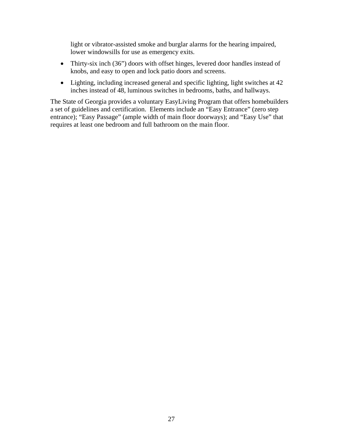light or vibrator-assisted smoke and burglar alarms for the hearing impaired, lower windowsills for use as emergency exits.

- Thirty-six inch (36") doors with offset hinges, levered door handles instead of knobs, and easy to open and lock patio doors and screens.
- Lighting, including increased general and specific lighting, light switches at 42 inches instead of 48, luminous switches in bedrooms, baths, and hallways.

The State of Georgia provides a voluntary EasyLiving Program that offers homebuilders a set of guidelines and certification. Elements include an "Easy Entrance" (zero step entrance); "Easy Passage" (ample width of main floor doorways); and "Easy Use" that requires at least one bedroom and full bathroom on the main floor.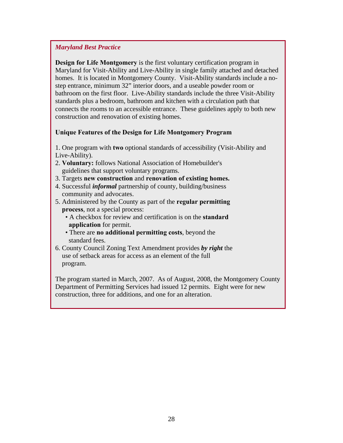### *Maryland Best Practice*

**Design for Life Montgomery** is the first voluntary certification program in Maryland for Visit-Ability and Live-Ability in single family attached and detached homes. It is located in Montgomery County. Visit-Ability standards include a nostep entrance, minimum 32" interior doors, and a useable powder room or bathroom on the first floor. Live-Ability standards include the three Visit-Ability standards plus a bedroom, bathroom and kitchen with a circulation path that connects the rooms to an accessible entrance. These guidelines apply to both new construction and renovation of existing homes.

#### **Unique Features of the Design for Life Montgomery Program**

- 1. One program with **two** optional standards of accessibility (Visit-Ability and Live-Ability).
- 2. **Voluntary:** follows National Association of Homebuilder's guidelines that support voluntary programs.
- 3. Targets **new construction** and **renovation of existing homes.**
- 4. Successful *informal* partnership of county, building/business community and advocates.
- 5. Administered by the County as part of the **regular permitting process**, not a special process:
	- A checkbox for review and certification is on the **standard application** for permit.
	- There are **no additional permitting costs**, beyond the standard fees.
- 6. County Council Zoning Text Amendment provides *by right* the use of setback areas for access as an element of the full program.

The program started in March, 2007. As of August, 2008, the Montgomery County Department of Permitting Services had issued 12 permits. Eight were for new construction, three for additions, and one for an alteration.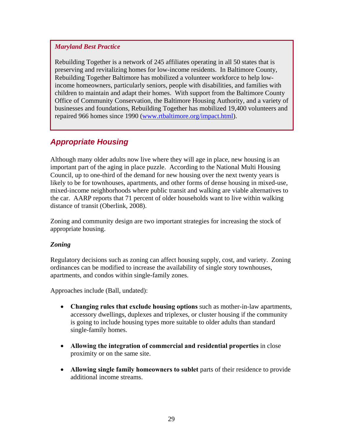#### *Maryland Best Practice*

Rebuilding Together is a network of 245 affiliates operating in all 50 states that is preserving and revitalizing homes for low-income residents. In Baltimore County, Rebuilding Together Baltimore has mobilized a volunteer workforce to help lowincome homeowners, particularly seniors, people with disabilities, and families with children to maintain and adapt their homes. With support from the Baltimore County Office of Community Conservation, the Baltimore Housing Authority, and a variety of businesses and foundations, Rebuilding Together has mobilized 19,400 volunteers and repaired 966 homes since 1990 [\(www.rtbaltimore.org/impact.html](http://www.rtbaltimore.org/impact.html)).

### *Appropriate Housing*

Although many older adults now live where they will age in place, new housing is an important part of the aging in place puzzle. According to the National Multi Housing Council, up to one-third of the demand for new housing over the next twenty years is likely to be for townhouses, apartments, and other forms of dense housing in mixed-use, mixed-income neighborhoods where public transit and walking are viable alternatives to the car. AARP reports that 71 percent of older households want to live within walking distance of transit (Oberlink, 2008).

Zoning and community design are two important strategies for increasing the stock of appropriate housing.

#### *Zoning*

Regulatory decisions such as zoning can affect housing supply, cost, and variety. Zoning ordinances can be modified to increase the availability of single story townhouses, apartments, and condos within single-family zones.

Approaches include (Ball, undated):

- **Changing rules that exclude housing options** such as mother-in-law apartments, accessory dwellings, duplexes and triplexes, or cluster housing if the community is going to include housing types more suitable to older adults than standard single-family homes.
- **Allowing the integration of commercial and residential properties** in close proximity or on the same site.
- **Allowing single family homeowners to sublet** parts of their residence to provide additional income streams.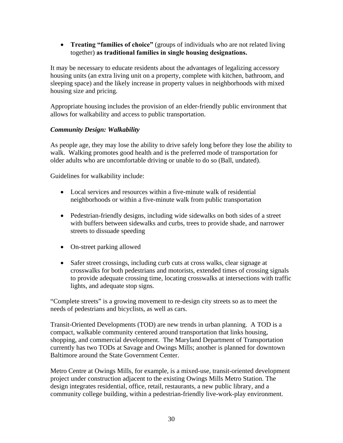• **Treating "families of choice"** (groups of individuals who are not related living together) **as traditional families in single housing designations.** 

It may be necessary to educate residents about the advantages of legalizing accessory housing units (an extra living unit on a property, complete with kitchen, bathroom, and sleeping space) and the likely increase in property values in neighborhoods with mixed housing size and pricing.

Appropriate housing includes the provision of an elder-friendly public environment that allows for walkability and access to public transportation.

### *Community Design: Walkability*

As people age, they may lose the ability to drive safely long before they lose the ability to walk. Walking promotes good health and is the preferred mode of transportation for older adults who are uncomfortable driving or unable to do so (Ball, undated).

Guidelines for walkability include:

- Local services and resources within a five-minute walk of residential neighborhoods or within a five-minute walk from public transportation
- Pedestrian-friendly designs, including wide sidewalks on both sides of a street with buffers between sidewalks and curbs, trees to provide shade, and narrower streets to dissuade speeding
- On-street parking allowed
- Safer street crossings, including curb cuts at cross walks, clear signage at crosswalks for both pedestrians and motorists, extended times of crossing signals to provide adequate crossing time, locating crosswalks at intersections with traffic lights, and adequate stop signs.

"Complete streets" is a growing movement to re-design city streets so as to meet the needs of pedestrians and bicyclists, as well as cars.

Transit-Oriented Developments (TOD) are new trends in urban planning. A TOD is a compact, walkable community centered around transportation that links housing, shopping, and commercial development. The Maryland Department of Transportation currently has two TODs at Savage and Owings Mills; another is planned for downtown Baltimore around the State Government Center.

Metro Centre at Owings Mills, for example, is a mixed-use, transit-oriented development project under construction adjacent to the existing Owings Mills Metro Station. The design integrates residential, office, retail, restaurants, a new public library, and a community college building, within a pedestrian-friendly live-work-play environment.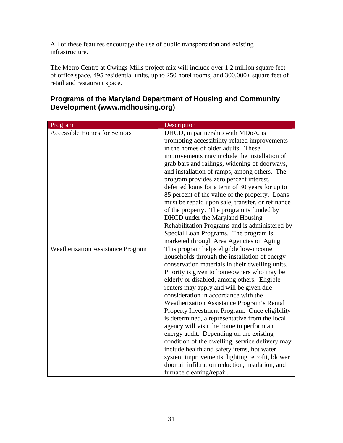All of these features encourage the use of public transportation and existing infrastructure.

The Metro Centre at Owings Mills project mix will include over 1.2 million square feet of office space, 495 residential units, up to 250 hotel rooms, and 300,000+ square feet of retail and restaurant space.

| Program                                  | Description                                      |  |
|------------------------------------------|--------------------------------------------------|--|
| <b>Accessible Homes for Seniors</b>      | DHCD, in partnership with MDoA, is               |  |
|                                          | promoting accessibility-related improvements     |  |
|                                          | in the homes of older adults. These              |  |
|                                          | improvements may include the installation of     |  |
|                                          | grab bars and railings, widening of doorways,    |  |
|                                          | and installation of ramps, among others. The     |  |
|                                          | program provides zero percent interest,          |  |
|                                          | deferred loans for a term of 30 years for up to  |  |
|                                          | 85 percent of the value of the property. Loans   |  |
|                                          | must be repaid upon sale, transfer, or refinance |  |
|                                          | of the property. The program is funded by        |  |
|                                          | DHCD under the Maryland Housing                  |  |
|                                          | Rehabilitation Programs and is administered by   |  |
|                                          | Special Loan Programs. The program is            |  |
|                                          | marketed through Area Agencies on Aging.         |  |
| <b>Weatherization Assistance Program</b> | This program helps eligible low-income           |  |
|                                          | households through the installation of energy    |  |
|                                          | conservation materials in their dwelling units.  |  |
|                                          | Priority is given to homeowners who may be       |  |
|                                          | elderly or disabled, among others. Eligible      |  |
|                                          | renters may apply and will be given due          |  |
|                                          | consideration in accordance with the             |  |
|                                          | Weatherization Assistance Program's Rental       |  |
|                                          | Property Investment Program. Once eligibility    |  |
|                                          | is determined, a representative from the local   |  |
|                                          | agency will visit the home to perform an         |  |
|                                          | energy audit. Depending on the existing          |  |
|                                          | condition of the dwelling, service delivery may  |  |
|                                          | include health and safety items, hot water       |  |
|                                          | system improvements, lighting retrofit, blower   |  |
|                                          | door air infiltration reduction, insulation, and |  |
|                                          | furnace cleaning/repair.                         |  |

# **Programs of the Maryland Department of Housing and Community Development (www.mdhousing.org)**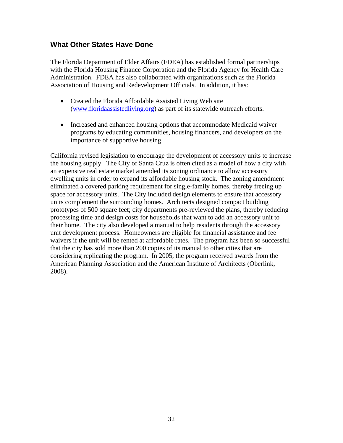### **What Other States Have Done**

The Florida Department of Elder Affairs (FDEA) has established formal partnerships with the Florida Housing Finance Corporation and the Florida Agency for Health Care Administration. FDEA has also collaborated with organizations such as the Florida Association of Housing and Redevelopment Officials. In addition, it has:

- Created the Florida Affordable Assisted Living Web site ([www.floridaassistedliving.org](http://www.floridaassistedliving.org/)) as part of its statewide outreach efforts.
- Increased and enhanced housing options that accommodate Medicaid waiver programs by educating communities, housing financers, and developers on the importance of supportive housing.

California revised legislation to encourage the development of accessory units to increase the housing supply. The City of Santa Cruz is often cited as a model of how a city with an expensive real estate market amended its zoning ordinance to allow accessory dwelling units in order to expand its affordable housing stock. The zoning amendment eliminated a covered parking requirement for single-family homes, thereby freeing up space for accessory units. The City included design elements to ensure that accessory units complement the surrounding homes. Architects designed compact building prototypes of 500 square feet; city departments pre-reviewed the plans, thereby reducing processing time and design costs for households that want to add an accessory unit to their home. The city also developed a manual to help residents through the accessory unit development process. Homeowners are eligible for financial assistance and fee waivers if the unit will be rented at affordable rates. The program has been so successful that the city has sold more than 200 copies of its manual to other cities that are considering replicating the program. In 2005, the program received awards from the American Planning Association and the American Institute of Architects (Oberlink, 2008).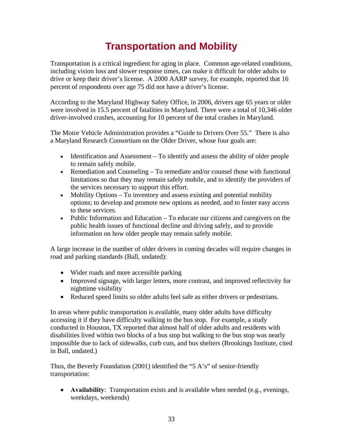# **Transportation and Mobility**

Transportation is a critical ingredient for aging in place. Common age-related conditions, including vision loss and slower response times, can make it difficult for older adults to drive or keep their driver's license. A 2000 AARP survey, for example, reported that 16 percent of respondents over age 75 did not have a driver's license.

According to the Maryland Highway Safety Office, in 2006, drivers age 65 years or older were involved in 15.5 percent of fatalities in Maryland. There were a total of 10,346 older driver-involved crashes, accounting for 10 percent of the total crashes in Maryland.

The Motor Vehicle Administration provides a "Guide to Drivers Over 55." There is also a Maryland Research Consortium on the Older Driver, whose four goals are:

- Identification and Assessment To identify and assess the ability of older people to remain safely mobile.
- Remediation and Counseling To remediate and/or counsel those with functional limitations so that they may remain safely mobile, and to identify the providers of the services necessary to support this effort.
- Mobility Options To inventory and assess existing and potential mobility options; to develop and promote new options as needed, and to foster easy access to these services.
- Public Information and Education To educate our citizens and caregivers on the public health issues of functional decline and driving safely, and to provide information on how older people may remain safely mobile.

A large increase in the number of older drivers in coming decades will require changes in road and parking standards (Ball, undated):

- Wider roads and more accessible parking
- Improved signage, with larger letters, more contrast, and improved reflectivity for nighttime visibility
- Reduced speed limits so older adults feel safe as either drivers or pedestrians.

In areas where public transportation is available, many older adults have difficulty accessing it if they have difficulty walking to the bus stop. For example, a study conducted in Houston, TX reported that almost half of older adults and residents with disabilities lived within two blocks of a bus stop but walking to the bus stop was nearly impossible due to lack of sidewalks, curb cuts, and bus shelters (Brookings Institute, cited in Ball, undated.)

Thus, the Beverly Foundation (2001) identified the "5 A's" of senior-friendly transportation:

• **Availability**: Transportation exists and is available when needed (e.g., evenings, weekdays, weekends)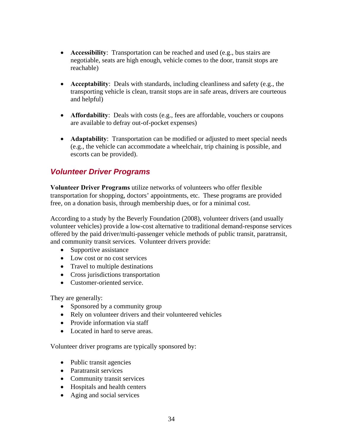- **Accessibility**: Transportation can be reached and used (e.g., bus stairs are negotiable, seats are high enough, vehicle comes to the door, transit stops are reachable)
- **Acceptability**: Deals with standards, including cleanliness and safety (e.g., the transporting vehicle is clean, transit stops are in safe areas, drivers are courteous and helpful)
- **Affordability**: Deals with costs (e.g., fees are affordable, vouchers or coupons are available to defray out-of-pocket expenses)
- **Adaptability**: Transportation can be modified or adjusted to meet special needs (e.g., the vehicle can accommodate a wheelchair, trip chaining is possible, and escorts can be provided).

# *Volunteer Driver Programs*

**Volunteer Driver Programs** utilize networks of volunteers who offer flexible transportation for shopping, doctors' appointments, etc. These programs are provided free, on a donation basis, through membership dues, or for a minimal cost.

According to a study by the Beverly Foundation (2008), volunteer drivers (and usually volunteer vehicles) provide a low-cost alternative to traditional demand-response services offered by the paid driver/multi-passenger vehicle methods of public transit, paratransit, and community transit services. Volunteer drivers provide:

- Supportive assistance
- Low cost or no cost services
- Travel to multiple destinations
- Cross jurisdictions transportation
- Customer-oriented service.

They are generally:

- Sponsored by a community group
- Rely on volunteer drivers and their volunteered vehicles
- Provide information via staff
- Located in hard to serve areas.

Volunteer driver programs are typically sponsored by:

- Public transit agencies
- Paratransit services
- Community transit services
- Hospitals and health centers
- Aging and social services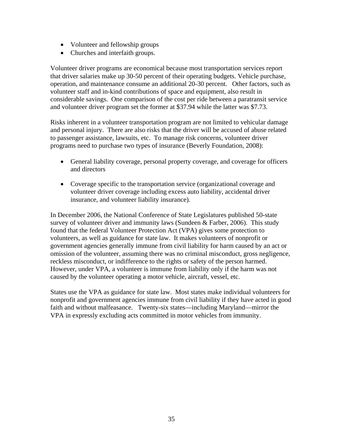- Volunteer and fellowship groups
- Churches and interfaith groups.

Volunteer driver programs are economical because most transportation services report that driver salaries make up 30-50 percent of their operating budgets. Vehicle purchase, operation, and maintenance consume an additional 20-30 percent. Other factors, such as volunteer staff and in-kind contributions of space and equipment, also result in considerable savings. One comparison of the cost per ride between a paratransit service and volunteer driver program set the former at \$37.94 while the latter was \$7.73.

Risks inherent in a volunteer transportation program are not limited to vehicular damage and personal injury. There are also risks that the driver will be accused of abuse related to passenger assistance, lawsuits, etc. To manage risk concerns, volunteer driver programs need to purchase two types of insurance (Beverly Foundation, 2008):

- General liability coverage, personal property coverage, and coverage for officers and directors
- Coverage specific to the transportation service (organizational coverage and volunteer driver coverage including excess auto liability, accidental driver insurance, and volunteer liability insurance).

In December 2006, the National Conference of State Legislatures published 50-state survey of volunteer driver and immunity laws (Sundeen  $& \text{Farber}, 2006$ ). This study found that the federal Volunteer Protection Act (VPA) gives some protection to volunteers, as well as guidance for state law. It makes volunteers of nonprofit or government agencies generally immune from civil liability for harm caused by an act or omission of the volunteer, assuming there was no criminal misconduct, gross negligence, reckless misconduct, or indifference to the rights or safety of the person harmed. However, under VPA, a volunteer is immune from liability only if the harm was not caused by the volunteer operating a motor vehicle, aircraft, vessel, etc.

States use the VPA as guidance for state law. Most states make individual volunteers for nonprofit and government agencies immune from civil liability if they have acted in good faith and without malfeasance. Twenty-six states—including Maryland—mirror the VPA in expressly excluding acts committed in motor vehicles from immunity.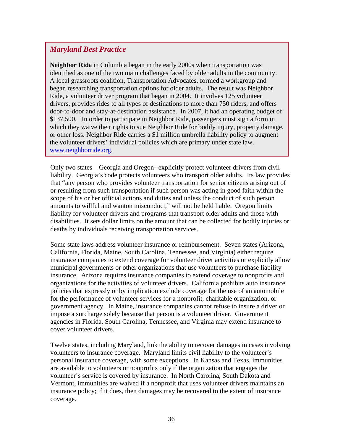### *Maryland Best Practice*

**Neighbor Ride** in Columbia began in the early 2000s when transportation was identified as one of the two main challenges faced by older adults in the community. A local grassroots coalition, Transportation Advocates, formed a workgroup and began researching transportation options for older adults. The result was Neighbor Ride, a volunteer driver program that began in 2004. It involves 125 volunteer drivers, provides rides to all types of destinations to more than 750 riders, and offers door-to-door and stay-at-destination assistance. In 2007, it had an operating budget of \$137,500. In order to participate in Neighbor Ride, passengers must sign a form in which they waive their rights to sue Neighbor Ride for bodily injury, property damage, or other loss. Neighbor Ride carries a \$1 million umbrella liability policy to augment the volunteer drivers' individual policies which are primary under state law. [www.neighborride.org](http://www.neighborride.org/).

Only two states—Georgia and Oregon--explicitly protect volunteer drivers from civil liability. Georgia's code protects volunteers who transport older adults. Its law provides that "any person who provides volunteer transportation for senior citizens arising out of or resulting from such transportation if such person was acting in good faith within the scope of his or her official actions and duties and unless the conduct of such person amounts to willful and wanton misconduct," will not be held liable. Oregon limits liability for volunteer drivers and programs that transport older adults and those with disabilities. It sets dollar limits on the amount that can be collected for bodily injuries or deaths by individuals receiving transportation services.

Some state laws address volunteer insurance or reimbursement. Seven states (Arizona, California, Florida, Maine, South Carolina, Tennessee, and Virginia) either require insurance companies to extend coverage for volunteer driver activities or explicitly allow municipal governments or other organizations that use volunteers to purchase liability insurance. Arizona requires insurance companies to extend coverage to nonprofits and organizations for the activities of volunteer drivers. California prohibits auto insurance policies that expressly or by implication exclude coverage for the use of an automobile for the performance of volunteer services for a nonprofit, charitable organization, or government agency. In Maine, insurance companies cannot refuse to insure a driver or impose a surcharge solely because that person is a volunteer driver. Government agencies in Florida, South Carolina, Tennessee, and Virginia may extend insurance to cover volunteer drivers.

Twelve states, including Maryland, link the ability to recover damages in cases involving volunteers to insurance coverage. Maryland limits civil liability to the volunteer's personal insurance coverage, with some exceptions. In Kansas and Texas, immunities are available to volunteers or nonprofits only if the organization that engages the volunteer's service is covered by insurance. In North Carolina, South Dakota and Vermont, immunities are waived if a nonprofit that uses volunteer drivers maintains an insurance policy; if it does, then damages may be recovered to the extent of insurance coverage.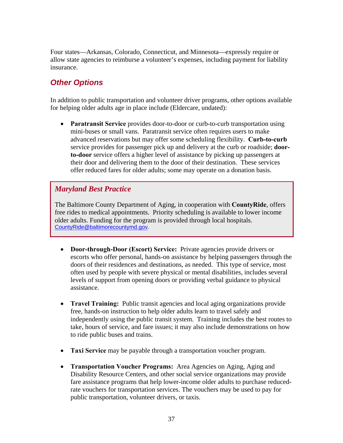Four states—Arkansas, Colorado, Connecticut, and Minnesota—expressly require or allow state agencies to reimburse a volunteer's expenses, including payment for liability insurance.

# *Other Options*

In addition to public transportation and volunteer driver programs, other options available for helping older adults age in place include (Eldercare, undated):

• **Paratransit Service** provides door-to-door or curb-to-curb transportation using mini-buses or small vans. Paratransit service often requires users to make advanced reservations but may offer some scheduling flexibility. **Curb-to-curb** service provides for passenger pick up and delivery at the curb or roadside; **doorto-door** service offers a higher level of assistance by picking up passengers at their door and delivering them to the door of their destination. These services offer reduced fares for older adults; some may operate on a donation basis.

### *Maryland Best Practice*

The Baltimore County Department of Aging, in cooperation with **CountyRide**, offers free rides to medical appointments. Priority scheduling is available to lower income older adults. Funding for the program is provided through local hospitals. [CountyRide@baltimorecountymd.gov.](mailto:CountyRide@baltimorecountymd.gov)

- **Door-through-Door (Escort) Service:** Private agencies provide drivers or escorts who offer personal, hands-on assistance by helping passengers through the doors of their residences and destinations, as needed. This type of service, most often used by people with severe physical or mental disabilities, includes several levels of support from opening doors or providing verbal guidance to physical assistance.
- **Travel Training:** Public transit agencies and local aging organizations provide free, hands-on instruction to help older adults learn to travel safely and independently using the public transit system. Training includes the best routes to take, hours of service, and fare issues; it may also include demonstrations on how to ride public buses and trains.
- **Taxi Service** may be payable through a transportation voucher program.
- **Transportation Voucher Programs:** Area Agencies on Aging, Aging and Disability Resource Centers, and other social service organizations may provide fare assistance programs that help lower-income older adults to purchase reducedrate vouchers for transportation services. The vouchers may be used to pay for public transportation, volunteer drivers, or taxis.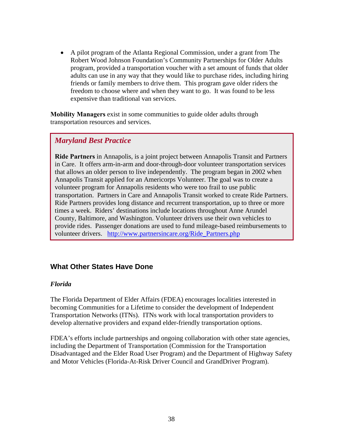• A pilot program of the Atlanta Regional Commission, under a grant from The Robert Wood Johnson Foundation's Community Partnerships for Older Adults program, provided a transportation voucher with a set amount of funds that older adults can use in any way that they would like to purchase rides, including hiring friends or family members to drive them. This program gave older riders the freedom to choose where and when they want to go. It was found to be less expensive than traditional van services.

**Mobility Managers** exist in some communities to guide older adults through transportation resources and services.

### *Maryland Best Practice*

**Ride Partners** in Annapolis, is a joint project between Annapolis Transit and Partners in Care. It offers arm-in-arm and door-through-door volunteer transportation services that allows an older person to live independently. The program began in 2002 when Annapolis Transit applied for an Americorps Volunteer. The goal was to create a volunteer program for Annapolis residents who were too frail to use public transportation. Partners in Care and Annapolis Transit worked to create Ride Partners. Ride Partners provides long distance and recurrent transportation, up to three or more times a week. Riders' destinations include locations throughout Anne Arundel County, Baltimore, and Washington. Volunteer drivers use their own vehicles to provide rides. Passenger donations are used to fund mileage-based reimbursements to volunteer drivers. [http://www.partnersincare.org/Ride\\_Partners.php](http://www.partnersincare.org/Ride_Partners.php)

### **What Other States Have Done**

#### *Florida*

The Florida Department of Elder Affairs (FDEA) encourages localities interested in becoming Communities for a Lifetime to consider the development of Independent Transportation Networks (ITNs). ITNs work with local transportation providers to develop alternative providers and expand elder-friendly transportation options.

FDEA's efforts include partnerships and ongoing collaboration with other state agencies, including the Department of Transportation (Commission for the Transportation Disadvantaged and the Elder Road User Program) and the Department of Highway Safety and Motor Vehicles (Florida-At-Risk Driver Council and GrandDriver Program).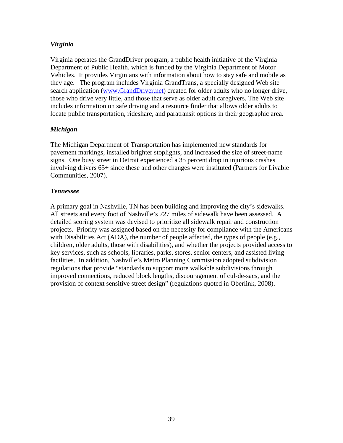#### *Virginia*

Virginia operates the GrandDriver program, a public health initiative of the Virginia Department of Public Health, which is funded by the Virginia Department of Motor Vehicles. It provides Virginians with information about how to stay safe and mobile as they age. The program includes Virginia GrandTrans, a specially designed Web site search application [\(www.GrandDriver.net\)](http://www.granddriver.net/) created for older adults who no longer drive, those who drive very little, and those that serve as older adult caregivers. The Web site includes information on safe driving and a resource finder that allows older adults to locate public transportation, rideshare, and paratransit options in their geographic area.

#### *Michigan*

The Michigan Department of Transportation has implemented new standards for pavement markings, installed brighter stoplights, and increased the size of street-name signs. One busy street in Detroit experienced a 35 percent drop in injurious crashes involving drivers 65+ since these and other changes were instituted (Partners for Livable Communities, 2007).

### *Tennessee*

A primary goal in Nashville, TN has been building and improving the city's sidewalks. All streets and every foot of Nashville's 727 miles of sidewalk have been assessed. A detailed scoring system was devised to prioritize all sidewalk repair and construction projects. Priority was assigned based on the necessity for compliance with the Americans with Disabilities Act (ADA), the number of people affected, the types of people (e.g., children, older adults, those with disabilities), and whether the projects provided access to key services, such as schools, libraries, parks, stores, senior centers, and assisted living facilities. In addition, Nashville's Metro Planning Commission adopted subdivision regulations that provide "standards to support more walkable subdivisions through improved connections, reduced block lengths, discouragement of cul-de-sacs, and the provision of context sensitive street design" (regulations quoted in Oberlink, 2008).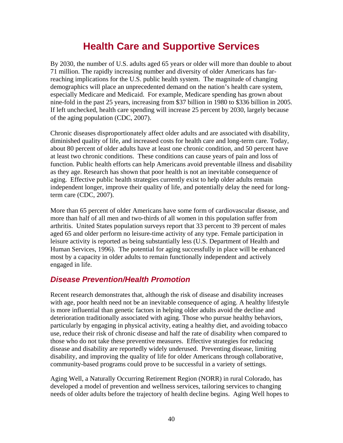# **Health Care and Supportive Services**

By 2030, the number of U.S. adults aged 65 years or older will more than double to about 71 million. The rapidly increasing number and diversity of older Americans has farreaching implications for the U.S. public health system. The magnitude of changing demographics will place an unprecedented demand on the nation's health care system, especially Medicare and Medicaid. For example, Medicare spending has grown about nine-fold in the past 25 years, increasing from \$37 billion in 1980 to \$336 billion in 2005. If left unchecked, health care spending will increase 25 percent by 2030, largely because of the aging population (CDC, 2007).

Chronic diseases disproportionately affect older adults and are associated with disability, diminished quality of life, and increased costs for health care and long-term care. Today, about 80 percent of older adults have at least one chronic condition, and 50 percent have at least two chronic conditions. These conditions can cause years of pain and loss of function. Public health efforts can help Americans avoid preventable illness and disability as they age. Research has shown that poor health is not an inevitable consequence of aging. Effective public health strategies currently exist to help older adults remain independent longer, improve their quality of life, and potentially delay the need for longterm care (CDC, 2007).

More than 65 percent of older Americans have some form of cardiovascular disease, and more than half of all men and two-thirds of all women in this population suffer from arthritis. United States population surveys report that 33 percent to 39 percent of males aged 65 and older perform no leisure-time activity of any type. Female participation in leisure activity is reported as being substantially less (U.S. Department of Health and Human Services, 1996). The potential for aging successfully in place will be enhanced most by a capacity in older adults to remain functionally independent and actively engaged in life.

# *Disease Prevention/Health Promotion*

Recent research demonstrates that, although the risk of disease and disability increases with age, poor health need not be an inevitable consequence of aging. A healthy lifestyle is more influential than genetic factors in helping older adults avoid the decline and deterioration traditionally associated with aging. Those who pursue healthy behaviors, particularly by engaging in physical activity, eating a healthy diet, and avoiding tobacco use, reduce their risk of chronic disease and half the rate of disability when compared to those who do not take these preventive measures. Effective strategies for reducing disease and disability are reportedly widely underused. Preventing disease, limiting disability, and improving the quality of life for older Americans through collaborative, community-based programs could prove to be successful in a variety of settings.

Aging Well, a Naturally Occurring Retirement Region (NORR) in rural Colorado, has developed a model of prevention and wellness services, tailoring services to changing needs of older adults before the trajectory of health decline begins. Aging Well hopes to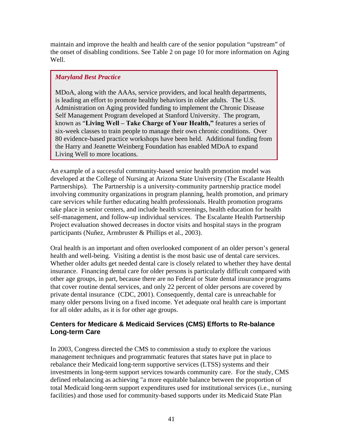maintain and improve the health and health care of the senior population "upstream" of the onset of disabling conditions. See Table 2 on page 10 for more information on Aging Well.

### *Maryland Best Practice*

MDoA, along with the AAAs, service providers, and local health departments, is leading an effort to promote healthy behaviors in older adults. The U.S. Administration on Aging provided funding to implement the Chronic Disease Self Management Program developed at Stanford University. The program, known as "**Living Well – Take Charge of Your Health,"** features a series of six-week classes to train people to manage their own chronic conditions. Over 80 evidence-based practice workshops have been held. Additional funding from the Harry and Jeanette Weinberg Foundation has enabled MDoA to expand Living Well to more locations.

An example of a successful community-based senior health promotion model was developed at the College of Nursing at Arizona State University (The Escalante Health Partnerships). The Partnership is a university-community partnership practice model involving community organizations in program planning, health promotion, and primary care services while further educating health professionals. Health promotion programs take place in senior centers, and include health screenings, health education for health self-management, and follow-up individual services. The Escalante Health Partnership Project evaluation showed decreases in doctor visits and hospital stays in the program participants (Nuñez, Armbruster & Phillips et al., 2003).

Oral health is an important and often overlooked component of an older person's general health and well-being. Visiting a dentist is the most basic use of dental care services. Whether older adults get needed dental care is closely related to whether they have dental insurance. Financing dental care for older persons is particularly difficult compared with other age groups, in part, because there are no Federal or State dental insurance programs that cover routine dental services, and only 22 percent of older persons are covered by private dental insurance (CDC, 2001). Consequently, dental care is unreachable for many older persons living on a fixed income. Yet adequate oral health care is important for all older adults, as it is for other age groups.

### **Centers for Medicare & Medicaid Services (CMS) Efforts to Re-balance Long-term Care**

In 2003, Congress directed the CMS to commission a study to explore the various management techniques and programmatic features that states have put in place to rebalance their Medicaid long-term supportive services (LTSS) systems and their investments in long-term support services towards community care. For the study, CMS defined rebalancing as achieving "a more equitable balance between the proportion of total Medicaid long-term support expenditures used for institutional services (i.e., nursing facilities) and those used for community-based supports under its Medicaid State Plan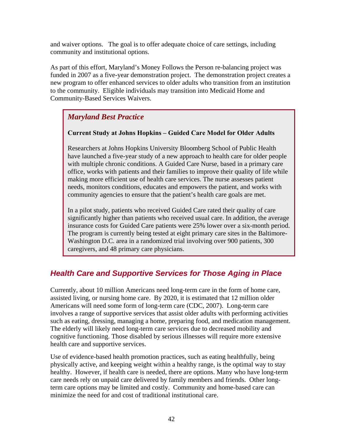and waiver options. The goal is to offer adequate choice of care settings, including community and institutional options.

As part of this effort, Maryland's Money Follows the Person re-balancing project was funded in 2007 as a five-year demonstration project. The demonstration project creates a new program to offer enhanced services to older adults who transition from an institution to the community. Eligible individuals may transition into Medicaid Home and Community-Based Services Waivers.

# *Maryland Best Practice*

#### **Current Study at Johns Hopkins – Guided Care Model for Older Adults**

Researchers at Johns Hopkins University Bloomberg School of Public Health have launched a five-year study of a new approach to health care for older people with multiple chronic conditions. A Guided Care Nurse, based in a primary care office, works with patients and their families to improve their quality of life while making more efficient use of health care services. The nurse assesses patient needs, monitors conditions, educates and empowers the patient, and works with community agencies to ensure that the patient's health care goals are met.

In a pilot study, patients who received Guided Care rated their quality of care significantly higher than patients who received usual care. In addition, the average insurance costs for Guided Care patients were 25% lower over a six-month period. The program is currently being tested at eight primary care sites in the Baltimore-Washington D.C. area in a randomized trial involving over 900 patients, 300 caregivers, and 48 primary care physicians.

# *Health Care and Supportive Services for Those Aging in Place*

Currently, about 10 million Americans need long-term care in the form of home care, assisted living, or nursing home care. By 2020, it is estimated that 12 million older Americans will need some form of long-term care (CDC, 2007). Long-term care involves a range of supportive services that assist older adults with performing activities such as eating, dressing, managing a home, preparing food, and medication management. The elderly will likely need long-term care services due to decreased mobility and cognitive functioning. Those disabled by serious illnesses will require more extensive health care and supportive services.

Use of evidence-based health promotion practices, such as eating healthfully, being physically active, and keeping weight within a healthy range, is the optimal way to stay healthy. However, if health care is needed, there are options. Many who have long-term care needs rely on unpaid care delivered by family members and friends. Other longterm care options may be limited and costly. Community and home-based care can minimize the need for and cost of traditional institutional care.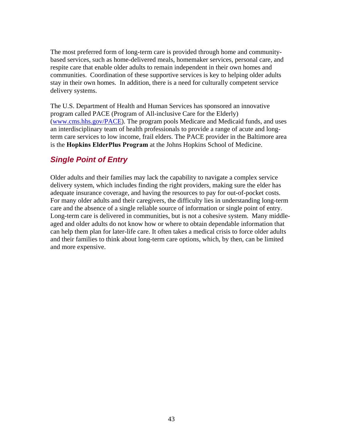The most preferred form of long-term care is provided through home and communitybased services, such as home-delivered meals, homemaker services, personal care, and respite care that enable older adults to remain independent in their own homes and communities. Coordination of these supportive services is key to helping older adults stay in their own homes. In addition, there is a need for culturally competent service delivery systems.

The U.S. Department of Health and Human Services has sponsored an innovative program called PACE (Program of All-inclusive Care for the Elderly) ([www.cms.hhs.gov/PACE\)](http://www.cms.hhs.gov/PACE). The program pools Medicare and Medicaid funds, and uses an interdisciplinary team of health professionals to provide a range of acute and longterm care services to low income, frail elders. The PACE provider in the Baltimore area is the **Hopkins ElderPlus Program** at the Johns Hopkins School of Medicine.

# *Single Point of Entry*

Older adults and their families may lack the capability to navigate a complex service delivery system, which includes finding the right providers, making sure the elder has adequate insurance coverage, and having the resources to pay for out-of-pocket costs. For many older adults and their caregivers, the difficulty lies in understanding long-term care and the absence of a single reliable source of information or single point of entry. Long-term care is delivered in communities, but is not a cohesive system. Many middleaged and older adults do not know how or where to obtain dependable information that can help them plan for later-life care. It often takes a medical crisis to force older adults and their families to think about long-term care options, which, by then, can be limited and more expensive.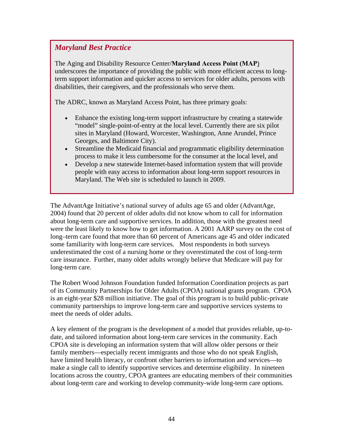### *Maryland Best Practice*

The Aging and Disability Resource Center/**Maryland Access Point (MAP**) underscores the importance of providing the public with more efficient access to longterm support information and quicker access to services for older adults, persons with disabilities, their caregivers, and the professionals who serve them.

The ADRC, known as Maryland Access Point, has three primary goals:

- Enhance the existing long-term support infrastructure by creating a statewide "model" single-point-of-entry at the local level. Currently there are six pilot sites in Maryland (Howard, Worcester, Washington, Anne Arundel, Prince Georges, and Baltimore City).
- Streamline the Medicaid financial and programmatic eligibility determination process to make it less cumbersome for the consumer at the local level, and
- Develop a new statewide Internet-based information system that will provide people with easy access to information about long-term support resources in Maryland. The Web site is scheduled to launch in 2009.

The AdvantAge Initiative's national survey of adults age 65 and older (AdvantAge, 2004) found that 20 percent of older adults did not know whom to call for information about long-term care and supportive services. In addition, those with the greatest need were the least likely to know how to get information. A 2001 AARP survey on the cost of long–term care found that more than 60 percent of Americans age 45 and older indicated some familiarity with long-term care services. Most respondents in both surveys underestimated the cost of a nursing home or they overestimated the cost of long-term care insurance. Further, many older adults wrongly believe that Medicare will pay for long-term care.

The Robert Wood Johnson Foundation funded Information Coordination projects as part of its Community Partnerships for Older Adults (CPOA) national grants program. CPOA is an eight-year \$28 million initiative. The goal of this program is to build public-private community partnerships to improve long-term care and supportive services systems to meet the needs of older adults.

A key element of the program is the development of a model that provides reliable, up-todate, and tailored information about long-term care services in the community. Each CPOA site is developing an information system that will allow older persons or their family members—especially recent immigrants and those who do not speak English, have limited health literacy, or confront other barriers to information and services—to make a single call to identify supportive services and determine eligibility. In nineteen locations across the country, CPOA grantees are educating members of their communities about long-term care and working to develop community-wide long-term care options.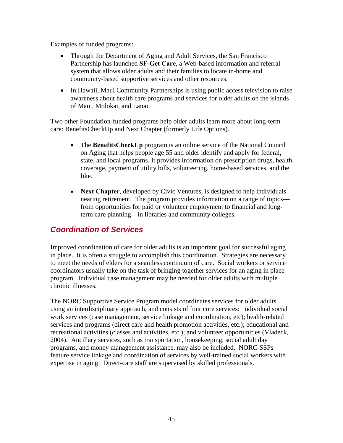Examples of funded programs:

- Through the Department of Aging and Adult Services, the San Francisco Partnership has launched **SF-Get Care**, a Web-based information and referral system that allows older adults and their families to locate in-home and community-based supportive services and other resources.
- In Hawaii, Maui Community Partnerships is using public access television to raise awareness about health care programs and services for older adults on the islands of Maui, Molokai, and Lanai.

Two other Foundation-funded programs help older adults learn more about long-term care: BenefitsCheckUp and Next Chapter (formerly Life Options).

- The **BenefitsCheckUp** program is an online service of the National Council on Aging that helps people age 55 and older identify and apply for federal, state, and local programs. It provides information on prescription drugs, health coverage, payment of utility bills, volunteering, home-based services, and the like.
- **Next Chapter**, developed by Civic Ventures, is designed to help individuals nearing retirement. The program provides information on a range of topics from opportunities for paid or volunteer employment to financial and longterm care planning—in libraries and community colleges.

# *Coordination of Services*

Improved coordination of care for older adults is an important goal for successful aging in place. It is often a struggle to accomplish this coordination. Strategies are necessary to meet the needs of elders for a seamless continuum of care. Social workers or service coordinators usually take on the task of bringing together services for an aging in place program. Individual case management may be needed for older adults with multiple chronic illnesses.

The NORC Supportive Service Program model coordinates services for older adults using an interdisciplinary approach, and consists of four core services: individual social work services (case management, service linkage and coordination, etc); health-related services and programs (direct care and health promotion activities, etc.); educational and recreational activities (classes and activities, etc.); and volunteer opportunities (Vladeck, 2004). Ancillary services, such as transportation, housekeeping, social adult day programs, and money management assistance, may also be included. NORC-SSPs feature service linkage and coordination of services by well-trained social workers with expertise in aging. Direct-care staff are supervised by skilled professionals.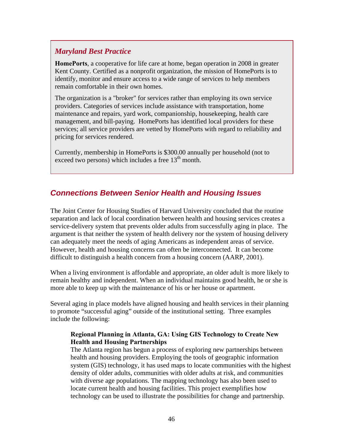### *Maryland Best Practice*

**HomePorts**, a cooperative for life care at home, began operation in 2008 in greater Kent County. Certified as a nonprofit organization, the mission of HomePorts is to identify, monitor and ensure access to a wide range of services to help members remain comfortable in their own homes.

The organization is a "broker" for services rather than employing its own service providers. Categories of services include assistance with transportation, home maintenance and repairs, yard work, companionship, housekeeping, health care management, and bill-paying. HomePorts has identified local providers for these services; all service providers are vetted by HomePorts with regard to reliability and pricing for services rendered.

Currently, membership in HomePorts is \$300.00 annually per household (not to exceed two persons) which includes a free  $13<sup>th</sup>$  month.

# *Connections Between Senior Health and Housing Issues*

The Joint Center for Housing Studies of Harvard University concluded that the routine separation and lack of local coordination between health and housing services creates a service-delivery system that prevents older adults from successfully aging in place. The argument is that neither the system of health delivery nor the system of housing delivery can adequately meet the needs of aging Americans as independent areas of service. However, health and housing concerns can often be interconnected. It can become difficult to distinguish a health concern from a housing concern (AARP, 2001).

When a living environment is affordable and appropriate, an older adult is more likely to remain healthy and independent. When an individual maintains good health, he or she is more able to keep up with the maintenance of his or her house or apartment.

Several aging in place models have aligned housing and health services in their planning to promote "successful aging" outside of the institutional setting. Three examples include the following:

#### **Regional Planning in Atlanta, GA: Using GIS Technology to Create New Health and Housing Partnerships**

The Atlanta region has begun a process of exploring new partnerships between health and housing providers. Employing the tools of geographic information system (GIS) technology, it has used maps to locate communities with the highest density of older adults, communities with older adults at risk, and communities with diverse age populations. The mapping technology has also been used to locate current health and housing facilities. This project exemplifies how technology can be used to illustrate the possibilities for change and partnership.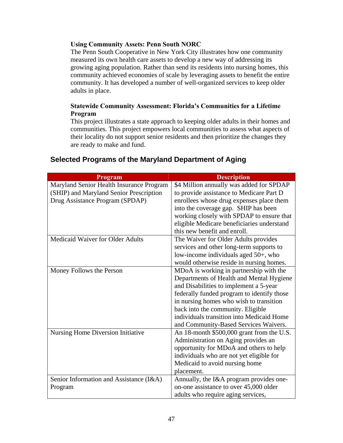#### **Using Community Assets: Penn South NORC**

The Penn South Cooperative in New York City illustrates how one community measured its own health care assets to develop a new way of addressing its growing aging population. Rather than send its residents into nursing homes, this community achieved economies of scale by leveraging assets to benefit the entire community. It has developed a number of well-organized services to keep older adults in place.

#### **Statewide Community Assessment: Florida's Communities for a Lifetime Program**

This project illustrates a state approach to keeping older adults in their homes and communities. This project empowers local communities to assess what aspects of their locality do not support senior residents and then prioritize the changes they are ready to make and fund.

| Program                                  | <b>Description</b>                         |  |  |
|------------------------------------------|--------------------------------------------|--|--|
| Maryland Senior Health Insurance Program | \$4 Million annually was added for SPDAP   |  |  |
| (SHIP) and Maryland Senior Prescription  | to provide assistance to Medicare Part D   |  |  |
| Drug Assistance Program (SPDAP)          | enrollees whose drug expenses place them   |  |  |
|                                          | into the coverage gap. SHIP has been       |  |  |
|                                          | working closely with SPDAP to ensure that  |  |  |
|                                          | eligible Medicare beneficiaries understand |  |  |
|                                          | this new benefit and enroll.               |  |  |
| Medicaid Waiver for Older Adults         | The Waiver for Older Adults provides       |  |  |
|                                          | services and other long-term supports to   |  |  |
|                                          | low-income individuals aged 50+, who       |  |  |
|                                          | would otherwise reside in nursing homes.   |  |  |
| Money Follows the Person                 | MDoA is working in partnership with the    |  |  |
|                                          | Departments of Health and Mental Hygiene   |  |  |
|                                          | and Disabilities to implement a 5-year     |  |  |
|                                          | federally funded program to identify those |  |  |
|                                          | in nursing homes who wish to transition    |  |  |
|                                          | back into the community. Eligible          |  |  |
|                                          | individuals transition into Medicaid Home  |  |  |
|                                          | and Community-Based Services Waivers.      |  |  |
| Nursing Home Diversion Initiative        | An 18-month \$500,000 grant from the U.S.  |  |  |
|                                          | Administration on Aging provides an        |  |  |
|                                          | opportunity for MDoA and others to help    |  |  |
|                                          | individuals who are not yet eligible for   |  |  |
|                                          | Medicaid to avoid nursing home             |  |  |
|                                          | placement.                                 |  |  |
| Senior Information and Assistance (I&A)  | Annually, the I&A program provides one-    |  |  |
| Program                                  | on-one assistance to over 45,000 older     |  |  |
|                                          | adults who require aging services,         |  |  |

# **Selected Programs of the Maryland Department of Aging**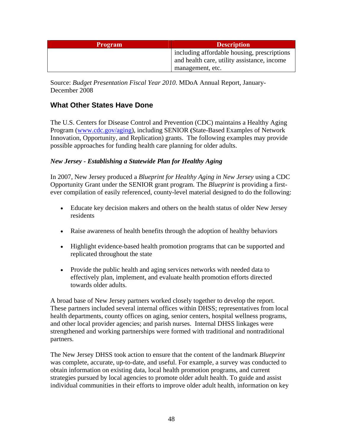| <b>Program</b> | <b>Description</b>                          |  |  |
|----------------|---------------------------------------------|--|--|
|                | including affordable housing, prescriptions |  |  |
|                | and health care, utility assistance, income |  |  |
|                | management, etc.                            |  |  |

Source: *Budget Presentation Fiscal Year 2010*. MDoA Annual Report, January-December 2008

## **What Other States Have Done**

The U.S. Centers for Disease Control and Prevention (CDC) maintains a Healthy Aging Program [\(www.cdc.gov/aging\)](http://www.cdc.gov/aging), including SENIOR **(**State-Based Examples of Network Innovation, Opportunity, and Replication) grants. The following examples may provide possible approaches for funding health care planning for older adults.

#### *New Jersey - Establishing a Statewide Plan for Healthy Aging*

In 2007, New Jersey produced a *Blueprint for Healthy Aging in New Jersey* using a CDC Opportunity Grant under the SENIOR grant program. The *Blueprint* is providing a firstever compilation of easily referenced, county-level material designed to do the following:

- Educate key decision makers and others on the health status of older New Jersey residents
- Raise awareness of health benefits through the adoption of healthy behaviors
- Highlight evidence-based health promotion programs that can be supported and replicated throughout the state
- Provide the public health and aging services networks with needed data to effectively plan, implement, and evaluate health promotion efforts directed towards older adults.

A broad base of New Jersey partners worked closely together to develop the report. These partners included several internal offices within DHSS; representatives from local health departments, county offices on aging, senior centers, hospital wellness programs, and other local provider agencies; and parish nurses. Internal DHSS linkages were strengthened and working partnerships were formed with traditional and nontraditional partners.

The New Jersey DHSS took action to ensure that the content of the landmark *Blueprint* was complete, accurate, up-to-date, and useful. For example, a survey was conducted to obtain information on existing data, local health promotion programs, and current strategies pursued by local agencies to promote older adult health. To guide and assist individual communities in their efforts to improve older adult health, information on key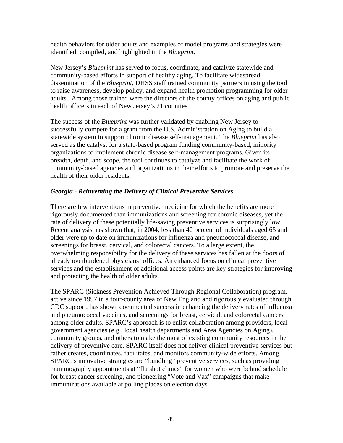health behaviors for older adults and examples of model programs and strategies were identified, compiled, and highlighted in the *Blueprint*.

New Jersey's *Blueprint* has served to focus, coordinate, and catalyze statewide and community-based efforts in support of healthy aging. To facilitate widespread dissemination of the *Blueprint*, DHSS staff trained community partners in using the tool to raise awareness, develop policy, and expand health promotion programming for older adults. Among those trained were the directors of the county offices on aging and public health officers in each of New Jersey's 21 counties.

The success of the *Blueprint* was further validated by enabling New Jersey to successfully compete for a grant from the U.S. Administration on Aging to build a statewide system to support chronic disease self-management. The *Blueprint* has also served as the catalyst for a state-based program funding community-based, minority organizations to implement chronic disease self-management programs. Given its breadth, depth, and scope, the tool continues to catalyze and facilitate the work of community-based agencies and organizations in their efforts to promote and preserve the health of their older residents.

#### *Georgia - Reinventing the Delivery of Clinical Preventive Services*

There are few interventions in preventive medicine for which the benefits are more rigorously documented than immunizations and screening for chronic diseases, yet the rate of delivery of these potentially life-saving preventive services is surprisingly low. Recent analysis has shown that, in 2004, less than 40 percent of individuals aged 65 and older were up to date on immunizations for influenza and pneumococcal disease, and screenings for breast, cervical, and colorectal cancers. To a large extent, the overwhelming responsibility for the delivery of these services has fallen at the doors of already overburdened physicians' offices. An enhanced focus on clinical preventive services and the establishment of additional access points are key strategies for improving and protecting the health of older adults.

The SPARC (Sickness Prevention Achieved Through Regional Collaboration) program, active since 1997 in a four-county area of New England and rigorously evaluated through CDC support, has shown documented success in enhancing the delivery rates of influenza and pneumococcal vaccines, and screenings for breast, cervical, and colorectal cancers among older adults. SPARC's approach is to enlist collaboration among providers, local government agencies (e.g., local health departments and Area Agencies on Aging), community groups, and others to make the most of existing community resources in the delivery of preventive care. SPARC itself does not deliver clinical preventive services but rather creates, coordinates, facilitates, and monitors community-wide efforts. Among SPARC's innovative strategies are "bundling" preventive services, such as providing mammography appointments at "flu shot clinics" for women who were behind schedule for breast cancer screening, and pioneering "Vote and Vax" campaigns that make immunizations available at polling places on election days.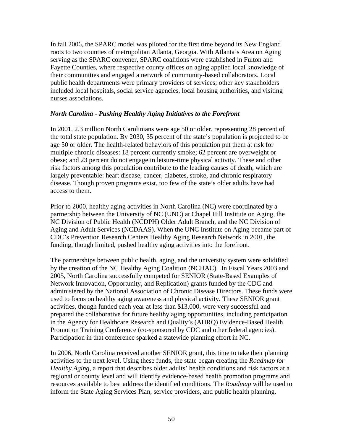In fall 2006, the SPARC model was piloted for the first time beyond its New England roots to two counties of metropolitan Atlanta, Georgia. With Atlanta's Area on Aging serving as the SPARC convener, SPARC coalitions were established in Fulton and Fayette Counties, where respective county offices on aging applied local knowledge of their communities and engaged a network of community-based collaborators. Local public health departments were primary providers of services; other key stakeholders included local hospitals, social service agencies, local housing authorities, and visiting nurses associations.

#### *North Carolina - Pushing Healthy Aging Initiatives to the Forefront*

In 2001, 2.3 million North Carolinians were age 50 or older, representing 28 percent of the total state population. By 2030, 35 percent of the state's population is projected to be age 50 or older. The health-related behaviors of this population put them at risk for multiple chronic diseases: 18 percent currently smoke; 62 percent are overweight or obese; and 23 percent do not engage in leisure-time physical activity. These and other risk factors among this population contribute to the leading causes of death, which are largely preventable: heart disease, cancer, diabetes, stroke, and chronic respiratory disease. Though proven programs exist, too few of the state's older adults have had access to them.

Prior to 2000, healthy aging activities in North Carolina (NC) were coordinated by a partnership between the University of NC (UNC) at Chapel Hill Institute on Aging, the NC Division of Public Health (NCDPH) Older Adult Branch, and the NC Division of Aging and Adult Services (NCDAAS). When the UNC Institute on Aging became part of CDC's Prevention Research Centers Healthy Aging Research Network in 2001, the funding, though limited, pushed healthy aging activities into the forefront.

The partnerships between public health, aging, and the university system were solidified by the creation of the NC Healthy Aging Coalition (NCHAC). In Fiscal Years 2003 and 2005, North Carolina successfully competed for SENIOR (State-Based Examples of Network Innovation, Opportunity, and Replication) grants funded by the CDC and administered by the National Association of Chronic Disease Directors. These funds were used to focus on healthy aging awareness and physical activity. These SENIOR grant activities, though funded each year at less than \$13,000, were very successful and prepared the collaborative for future healthy aging opportunities, including participation in the Agency for Healthcare Research and Quality's (AHRQ) Evidence-Based Health Promotion Training Conference (co-sponsored by CDC and other federal agencies). Participation in that conference sparked a statewide planning effort in NC.

In 2006, North Carolina received another SENIOR grant, this time to take their planning activities to the next level. Using these funds, the state began creating the *Roadmap for Healthy Aging*, a report that describes older adults' health conditions and risk factors at a regional or county level and will identify evidence-based health promotion programs and resources available to best address the identified conditions. The *Roadmap* will be used to inform the State Aging Services Plan, service providers, and public health planning.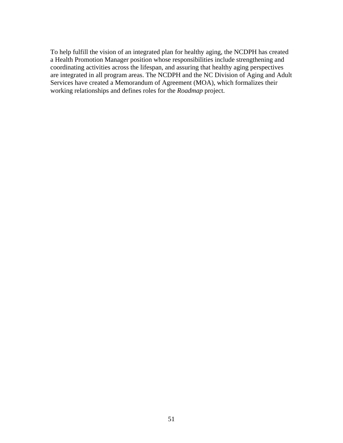To help fulfill the vision of an integrated plan for healthy aging, the NCDPH has created a Health Promotion Manager position whose responsibilities include strengthening and coordinating activities across the lifespan, and assuring that healthy aging perspectives are integrated in all program areas. The NCDPH and the NC Division of Aging and Adult Services have created a Memorandum of Agreement (MOA), which formalizes their working relationships and defines roles for the *Roadmap* project.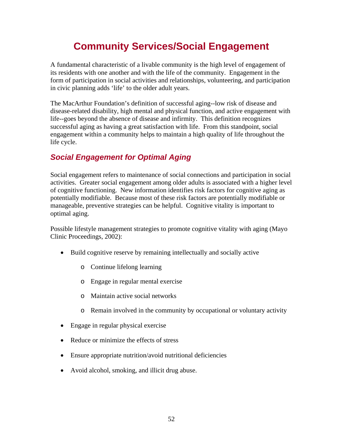# **Community Services/Social Engagement**

A fundamental characteristic of a livable community is the high level of engagement of its residents with one another and with the life of the community. Engagement in the form of participation in social activities and relationships, volunteering, and participation in civic planning adds 'life' to the older adult years.

The MacArthur Foundation's definition of successful aging--low risk of disease and disease-related disability, high mental and physical function, and active engagement with life--goes beyond the absence of disease and infirmity. This definition recognizes successful aging as having a great satisfaction with life. From this standpoint, social engagement within a community helps to maintain a high quality of life throughout the life cycle.

# *Social Engagement for Optimal Aging*

Social engagement refers to maintenance of social connections and participation in social activities. Greater social engagement among older adults is associated with a higher level of cognitive functioning. New information identifies risk factors for cognitive aging as potentially modifiable. Because most of these risk factors are potentially modifiable or manageable, preventive strategies can be helpful. Cognitive vitality is important to optimal aging.

Possible lifestyle management strategies to promote cognitive vitality with aging (Mayo Clinic Proceedings, 2002):

- Build cognitive reserve by remaining intellectually and socially active
	- o Continue lifelong learning
	- o Engage in regular mental exercise
	- o Maintain active social networks
	- o Remain involved in the community by occupational or voluntary activity
- Engage in regular physical exercise
- Reduce or minimize the effects of stress
- Ensure appropriate nutrition/avoid nutritional deficiencies
- Avoid alcohol, smoking, and illicit drug abuse.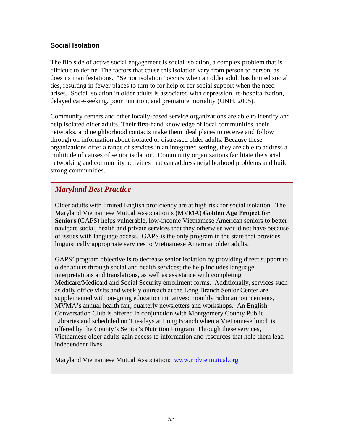### **Social Isolation**

The flip side of active social engagement is social isolation, a complex problem that is difficult to define. The factors that cause this isolation vary from person to person, as does its manifestations. "Senior isolation" occurs when an older adult has limited social ties, resulting in fewer places to turn to for help or for social support when the need arises. Social isolation in older adults is associated with depression, re-hospitalization, delayed care-seeking, poor nutrition, and premature mortality (UNH, 2005).

Community centers and other locally-based service organizations are able to identify and help isolated older adults. Their first-hand knowledge of local communities, their networks, and neighborhood contacts make them ideal places to receive and follow through on information about isolated or distressed older adults. Because these organizations offer a range of services in an integrated setting, they are able to address a multitude of causes of senior isolation. Community organizations facilitate the social networking and community activities that can address neighborhood problems and build strong communities.

# *Maryland Best Practice*

Older adults with limited English proficiency are at high risk for social isolation. The Maryland Vietnamese Mutual Association's (MVMA) **Golden Age Project for Seniors** (GAPS) helps vulnerable, low-income Vietnamese American seniors to better navigate social, health and private services that they otherwise would not have because of issues with language access. GAPS is the only program in the state that provides linguistically appropriate services to Vietnamese American older adults.

GAPS' program objective is to decrease senior isolation by providing direct support to older adults through social and health services; the help includes language interpretations and translations, as well as assistance with completing Medicare/Medicaid and Social Security enrollment forms. Additionally, services such as daily office visits and weekly outreach at the Long Branch Senior Center are supplemented with on-going education initiatives: monthly radio announcements, MVMA's annual health fair, quarterly newsletters and workshops. An English Conversation Club is offered in conjunction with Montgomery County Public Libraries and scheduled on Tuesdays at Long Branch when a Vietnamese lunch is offered by the County's Senior's Nutrition Program. Through these services, Vietnamese older adults gain access to information and resources that help them lead independent lives.

Maryland Vietnamese Mutual Association: [www.mdvietmutual.org](http://www.mdvietmutual.org/)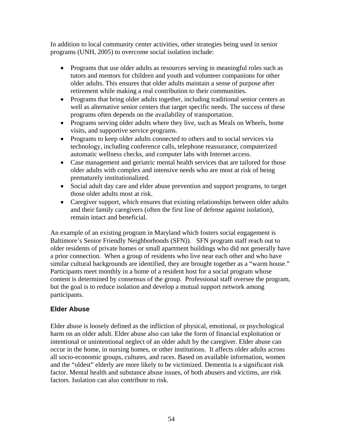In addition to local community center activities, other strategies being used in senior programs (UNH, 2005) to overcome social isolation include:

- Programs that use older adults as resources serving in meaningful roles such as tutors and mentors for children and youth and volunteer companions for other older adults. This ensures that older adults maintain a sense of purpose after retirement while making a real contribution to their communities.
- Programs that bring older adults together, including traditional senior centers as well as alternative senior centers that target specific needs. The success of these programs often depends on the availability of transportation.
- Programs serving older adults where they live, such as Meals on Wheels, home visits, and supportive service programs.
- Programs to keep older adults connected to others and to social services via technology, including conference calls, telephone reassurance, computerized automatic wellness checks, and computer labs with Internet access.
- Case management and geriatric mental health services that are tailored for those older adults with complex and intensive needs who are most at risk of being prematurely institutionalized.
- Social adult day care and elder abuse prevention and support programs, to target those older adults most at risk.
- Caregiver support, which ensures that existing relationships between older adults and their family caregivers (often the first line of defense against isolation), remain intact and beneficial.

An example of an existing program in Maryland which fosters social engagement is Baltimore's Senior Friendly Neighborhoods (SFN)). SFN program staff reach out to older residents of private homes or small apartment buildings who did not generally have a prior connection. When a group of residents who live near each other and who have similar cultural backgrounds are identified, they are brought together as a "warm house." Participants meet monthly in a home of a resident host for a social program whose content is determined by consensus of the group. Professional staff oversee the program, but the goal is to reduce isolation and develop a mutual support network among participants.

### **Elder Abuse**

Elder abuse is loosely defined as the infliction of physical, emotional, or psychological harm on an older adult. Elder abuse also can take the form of financial exploitation or intentional or unintentional neglect of an older adult by the caregiver. Elder abuse can occur in the home, in nursing homes, or other institutions. It affects older adults across all socio-economic groups, cultures, and races. Based on available information, women and the "oldest" elderly are more likely to be victimized. Dementia is a significant risk factor. Mental health and substance abuse issues, of both abusers and victims, are risk factors. Isolation can also contribute to risk.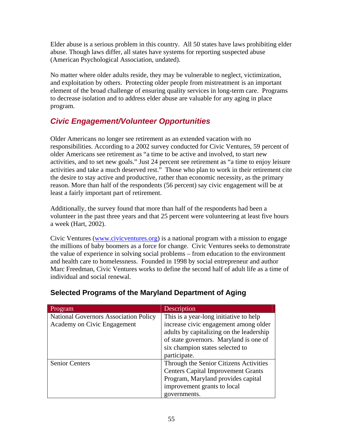Elder abuse is a serious problem in this country. All 50 states have laws prohibiting elder abuse. Though laws differ, all states have systems for reporting suspected abuse (American Psychological Association, undated).

No matter where older adults reside, they may be vulnerable to neglect, victimization, and exploitation by others. Protecting older people from mistreatment is an important element of the broad challenge of ensuring quality services in long-term care. Programs to decrease isolation and to address elder abuse are valuable for any aging in place program.

# *Civic Engagement/Volunteer Opportunities*

Older Americans no longer see retirement as an extended vacation with no responsibilities. According to a 2002 survey conducted for Civic Ventures, 59 percent of older Americans see retirement as "a time to be active and involved, to start new activities, and to set new goals." Just 24 percent see retirement as "a time to enjoy leisure activities and take a much deserved rest." Those who plan to work in their retirement cite the desire to stay active and productive, rather than economic necessity, as the primary reason. More than half of the respondents (56 percent) say civic engagement will be at least a fairly important part of retirement.

Additionally, the survey found that more than half of the respondents had been a volunteer in the past three years and that 25 percent were volunteering at least five hours a week (Hart, 2002).

Civic Ventures [\(www.civicventures.org](http://www.civicventures.org/)) is a national program with a mission to engage the millions of baby boomers as a force for change. Civic Ventures seeks to demonstrate the value of experience in solving social problems – from education to the environment and health care to homelessness. Founded in 1998 by social entrepreneur and author Marc Freedman, Civic Ventures works to define the second half of adult life as a time of individual and social renewal.

| Program                                      | Description                               |  |  |
|----------------------------------------------|-------------------------------------------|--|--|
| <b>National Governors Association Policy</b> | This is a year-long initiative to help    |  |  |
| Academy on Civic Engagement                  | increase civic engagement among older     |  |  |
|                                              | adults by capitalizing on the leadership  |  |  |
|                                              | of state governors. Maryland is one of    |  |  |
|                                              | six champion states selected to           |  |  |
|                                              | participate.                              |  |  |
| <b>Senior Centers</b>                        | Through the Senior Citizens Activities    |  |  |
|                                              | <b>Centers Capital Improvement Grants</b> |  |  |
|                                              | Program, Maryland provides capital        |  |  |
|                                              | improvement grants to local               |  |  |
|                                              | governments.                              |  |  |

# **Selected Programs of the Maryland Department of Aging**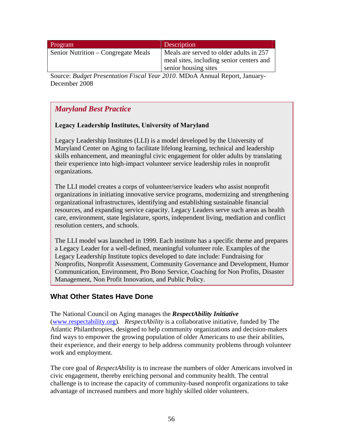| Program                             | Description                                                                                                 |
|-------------------------------------|-------------------------------------------------------------------------------------------------------------|
| Senior Nutrition – Congregate Meals | Meals are served to older adults in 257<br>meal sites, including senior centers and<br>senior housing sites |
|                                     | $\sim$ $\sim$ $\sim$ $\sim$ $\sim$ $\sim$                                                                   |

Source: *Budget Presentation Fiscal Year 2010*. MDoA Annual Report, January-December 2008

# *Maryland Best Practice*

### **Legacy Leadership Institutes, University of Maryland**

Legacy Leadership Institutes (LLI) is a model developed by the University of Maryland Center on Aging to facilitate lifelong learning, technical and leadership skills enhancement, and meaningful civic engagement for older adults by translating their experience into high-impact volunteer service leadership roles in nonprofit organizations.

The LLI model creates a corps of volunteer/service leaders who assist nonprofit organizations in initiating innovative service programs, modernizing and strengthening organizational infrastructures, identifying and establishing sustainable financial resources, and expanding service capacity. Legacy Leaders serve such areas as health care, environment, state legislature, sports, independent living, mediation and conflict resolution centers, and schools.

The LLI model was launched in 1999. Each institute has a specific theme and prepares a Legacy Leader for a well-defined, meaningful volunteer role. Examples of the Legacy Leadership Institute topics developed to date include: Fundraising for Nonprofits, Nonprofit Assessment, Community Governance and Development, Humor Communication, Environment, Pro Bono Service, Coaching for Non Profits, Disaster Management, Non Profit Innovation, and Public Policy.

### **What Other States Have Done**

The National Council on Aging manages the *RespectAbility Initiative* ([www.respectability.org\)](http://www.respectability.org/). *RespectAbility* is a collaborative initiative, funded by The Atlantic Philanthropies, designed to help community organizations and decision-makers find ways to empower the growing population of older Americans to use their abilities, their experience, and their energy to help address community problems through volunteer work and employment.

The core goal of *RespectAbility* is to increase the numbers of older Americans involved in civic engagement, thereby enriching personal and community health. The central challenge is to increase the capacity of community-based nonprofit organizations to take advantage of increased numbers and more highly skilled older volunteers.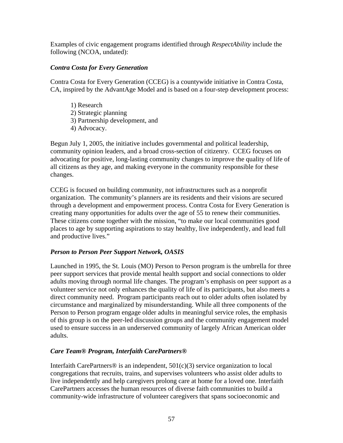Examples of civic engagement programs identified through *RespectAbility* include the following (NCOA, undated):

#### *Contra Costa for Every Generation*

Contra Costa for Every Generation (CCEG) is a countywide initiative in Contra Costa, CA, inspired by the AdvantAge Model and is based on a four-step development process:

- 1) Research
- 2) Strategic planning
- 3) Partnership development, and
- 4) Advocacy.

Begun July 1, 2005, the initiative includes governmental and political leadership, community opinion leaders, and a broad cross-section of citizenry. CCEG focuses on advocating for positive, long-lasting community changes to improve the quality of life of all citizens as they age, and making everyone in the community responsible for these changes.

CCEG is focused on building community, not infrastructures such as a nonprofit organization. The community's planners are its residents and their visions are secured through a development and empowerment process. Contra Costa for Every Generation is creating many opportunities for adults over the age of 55 to renew their communities. These citizens come together with the mission, "to make our local communities good places to age by supporting aspirations to stay healthy, live independently, and lead full and productive lives."

### *Person to Person Peer Support Network, OASIS*

Launched in 1995, the St. Louis (MO) Person to Person program is the umbrella for three peer support services that provide mental health support and social connections to older adults moving through normal life changes. The program's emphasis on peer support as a volunteer service not only enhances the quality of life of its participants, but also meets a direct community need. Program participants reach out to older adults often isolated by circumstance and marginalized by misunderstanding. While all three components of the Person to Person program engage older adults in meaningful service roles, the emphasis of this group is on the peer-led discussion groups and the community engagement model used to ensure success in an underserved community of largely African American older adults.

### *Care Team® Program, Interfaith CarePartners®*

Interfaith CarePartners<sup>®</sup> is an independent,  $501(c)(3)$  service organization to local congregations that recruits, trains, and supervises volunteers who assist older adults to live independently and help caregivers prolong care at home for a loved one. Interfaith CarePartners accesses the human resources of diverse faith communities to build a community-wide infrastructure of volunteer caregivers that spans socioeconomic and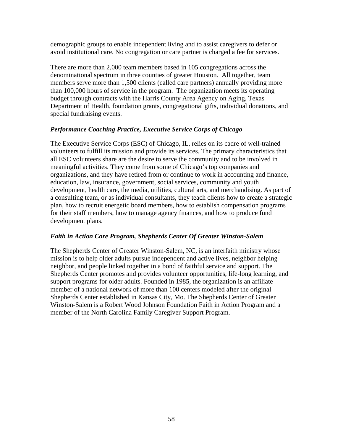demographic groups to enable independent living and to assist caregivers to defer or avoid institutional care. No congregation or care partner is charged a fee for services.

There are more than 2,000 team members based in 105 congregations across the denominational spectrum in three counties of greater Houston. All together, team members serve more than 1,500 clients (called care partners) annually providing more than 100,000 hours of service in the program. The organization meets its operating budget through contracts with the Harris County Area Agency on Aging, Texas Department of Health, foundation grants, congregational gifts, individual donations, and special fundraising events.

#### *Performance Coaching Practice, Executive Service Corps of Chicago*

The Executive Service Corps (ESC) of Chicago, IL, relies on its cadre of well-trained volunteers to fulfill its mission and provide its services. The primary characteristics that all ESC volunteers share are the desire to serve the community and to be involved in meaningful activities. They come from some of Chicago's top companies and organizations, and they have retired from or continue to work in accounting and finance, education, law, insurance, government, social services, community and youth development, health care, the media, utilities, cultural arts, and merchandising. As part of a consulting team, or as individual consultants, they teach clients how to create a strategic plan, how to recruit energetic board members, how to establish compensation programs for their staff members, how to manage agency finances, and how to produce fund development plans.

#### *Faith in Action Care Program, Shepherds Center Of Greater Winston-Salem*

The Shepherds Center of Greater Winston-Salem, NC, is an interfaith ministry whose mission is to help older adults pursue independent and active lives, neighbor helping neighbor, and people linked together in a bond of faithful service and support. The Shepherds Center promotes and provides volunteer opportunities, life-long learning, and support programs for older adults. Founded in 1985*,* the organization is an affiliate member of a national network of more than 100 centers modeled after the original Shepherds Center established in Kansas City, Mo. The Shepherds Center of Greater Winston-Salem is a Robert Wood Johnson Foundation Faith in Action Program and a member of the North Carolina Family Caregiver Support Program.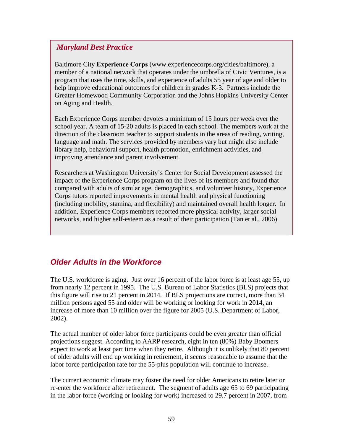### *Maryland Best Practice*

Baltimore City **Experience Corps** (www.experiencecorps.org/cities/baltimore), a member of a national network that operates under the umbrella of Civic Ventures, is a program that uses the time, skills, and experience of adults 55 year of age and older to help improve educational outcomes for children in grades K-3. Partners include the Greater Homewood Community Corporation and the Johns Hopkins University Center on Aging and Health.

Each Experience Corps member devotes a minimum of 15 hours per week over the school year. A team of 15-20 adults is placed in each school. The members work at the direction of the classroom teacher to support students in the areas of reading, writing, language and math. The services provided by members vary but might also include library help, behavioral support, health promotion, enrichment activities, and improving attendance and parent involvement.

Researchers at Washington University's Center for Social Development assessed the impact of the Experience Corps program on the lives of its members and found that compared with adults of similar age, demographics, and volunteer history, Experience Corps tutors reported improvements in mental health and physical functioning (including mobility, stamina, and flexibility) and maintained overall health longer. In addition, Experience Corps members reported more physical activity, larger social networks, and higher self-esteem as a result of their participation (Tan et al., 2006).

# *Older Adults in the Workforce*

The U.S. workforce is aging. Just over 16 percent of the labor force is at least age 55, up from nearly 12 percent in 1995. The U.S. Bureau of Labor Statistics (BLS) projects that this figure will rise to 21 percent in 2014. If BLS projections are correct, more than 34 million persons aged 55 and older will be working or looking for work in 2014, an increase of more than 10 million over the figure for 2005 (U.S. Department of Labor, 2002).

The actual number of older labor force participants could be even greater than official projections suggest. According to AARP research, eight in ten (80%) Baby Boomers expect to work at least part time when they retire. Although it is unlikely that 80 percent of older adults will end up working in retirement, it seems reasonable to assume that the labor force participation rate for the 55-plus population will continue to increase.

The current economic climate may foster the need for older Americans to retire later or re-enter the workforce after retirement. The segment of adults age 65 to 69 participating in the labor force (working or looking for work) increased to 29.7 percent in 2007, from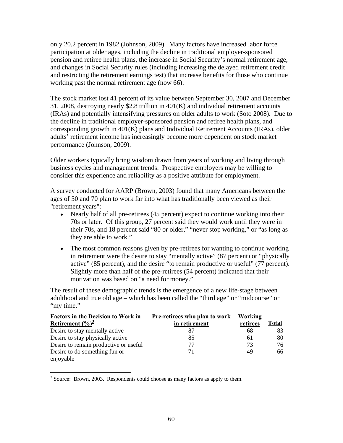<span id="page-71-0"></span>only 20.2 percent in 1982 (Johnson, 2009). Many factors have increased labor force participation at older ages, including the decline in traditional employer-sponsored pension and retiree health plans, the increase in Social Security's normal retirement age, and changes in Social Security rules (including increasing the delayed retirement credit and restricting the retirement earnings test) that increase benefits for those who continue working past the normal retirement age (now 66).

The stock market lost 41 percent of its value between September 30, 2007 and December 31, 2008, destroying nearly \$2.8 trillion in 401(K) and individual retirement accounts (IRAs) and potentially intensifying pressures on older adults to work (Soto 2008). Due to the decline in traditional employer-sponsored pension and retiree health plans, and corresponding growth in 401(K) plans and Individual Retirement Accounts (IRAs), older adults' retirement income has increasingly become more dependent on stock market performance (Johnson, 2009).

Older workers typically bring wisdom drawn from years of working and living through business cycles and management trends. Prospective employers may be willing to consider this experience and reliability as a positive attribute for employment.

A survey conducted for AARP (Brown, 2003) found that many Americans between the ages of 50 and 70 plan to work far into what has traditionally been viewed as their "retirement years":

- Nearly half of all pre-retirees (45 percent) expect to continue working into their 70s or later. Of this group, 27 percent said they would work until they were in their 70s, and 18 percent said "80 or older," "never stop working," or "as long as they are able to work."
- The most common reasons given by pre-retirees for wanting to continue working in retirement were the desire to stay "mentally active" (87 percent) or "physically active" (85 percent), and the desire "to remain productive or useful" (77 percent). Slightly more than half of the pre-retirees (54 percent) indicated that their motivation was based on "a need for money."

The result of these demographic trends is the emergence of a new life-stage between adulthood and true old age – which has been called the "third age" or "midcourse" or "my time."

| <b>Factors in the Decision to Work in</b> | Pre-retirees who plan to work | Working  |       |
|-------------------------------------------|-------------------------------|----------|-------|
| Retirement $(\frac{9}{6})^{\frac{3}{2}}$  | in retirement                 | retirees | Total |
| Desire to stay mentally active            | 87                            | 68       | 83    |
| Desire to stay physically active          | 85                            | 61       | 80    |
| Desire to remain productive or useful     | 77                            | 73       | 76    |
| Desire to do something fun or             | 71                            | 49       | 66.   |
| enjoyable                                 |                               |          |       |

<sup>3</sup> Source: Brown, 2003. Respondents could choose as many factors as apply to them.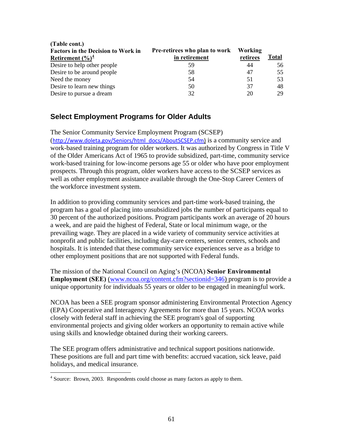| Pre-retirees who plan to work | Working  |              |
|-------------------------------|----------|--------------|
| in retirement                 | retirees | <b>Total</b> |
| 59                            | 44       | 56           |
| 58                            | 47       | 55           |
| 54                            | 51       | 53           |
| 50                            | 37       | 48           |
| 32                            | 20       | 29           |
|                               |          |              |

### **Select Employment Programs for Older Adults**

<span id="page-72-0"></span>**(Table cont.)** 

The Senior Community Service Employment Program (SCSEP) ([http://www.doleta.gov/Seniors/html\\_docs/AboutSCSEP.cfm](http://www.doleta.gov/Seniors/html_docs/AboutSCSEP.cfm)) is a community service and work-based training program for older workers. It was authorized by Congress in Title V of the Older Americans Act of 1965 to provide subsidized, part-time, community service work-based training for low-income persons age 55 or older who have poor employment prospects. Through this program, older workers have access to the SCSEP services as well as other employment assistance available through the [One-Stop Career Centers](http://www.dol.gov/dol/topic/training/onestop.htm) of the workforce investment system.

In addition to providing community services and part-time work-based training, the program has a goal of placing into unsubsidized jobs the number of participants equal to 30 percent of the authorized positions. Program participants work an average of 20 hours a week, and are paid the highest of Federal, State or local minimum wage, or the prevailing wage. They are placed in a wide variety of community service activities at nonprofit and public facilities, including day-care centers, senior centers, schools and hospitals. It is intended that these community service experiences serve as a bridge to other employment positions that are not supported with Federal funds.

The mission of the National Council on Aging's (NCOA) **Senior Environmental Employment (SEE)** ([www.ncoa.org/content.cfm?sectionid=346](http://www.ncoa.org/content.cfm?sectionid=346)) program is to provide a unique opportunity for individuals 55 years or older to be engaged in meaningful work.

NCOA has been a SEE program sponsor administering Environmental Protection Agency (EPA) Cooperative and Interagency Agreements for more than 15 years. NCOA works closely with federal staff in achieving the SEE program's goal of supporting environmental projects and giving older workers an opportunity to remain active while using skills and knowledge obtained during their working careers.

The SEE program offers administrative and technical support positions nationwide. These positions are full and part time with benefits: accrued vacation, sick leave, paid holidays, and medical insurance.

 4 Source: Brown, 2003. Respondents could choose as many factors as apply to them.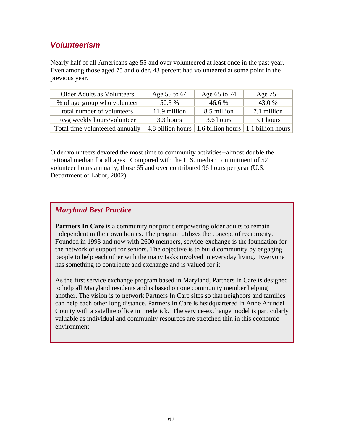## *Volunteerism*

Nearly half of all Americans age 55 and over volunteered at least once in the past year. Even among those aged 75 and older, 43 percent had volunteered at some point in the previous year.

| <b>Older Adults as Volunteers</b> | Age 55 to 64 | Age 65 to 74                                                                  | Age $75+$   |
|-----------------------------------|--------------|-------------------------------------------------------------------------------|-------------|
| % of age group who volunteer      | 50.3 %       | 46.6 %                                                                        | 43.0 %      |
| total number of volunteers        | 11.9 million | 8.5 million                                                                   | 7.1 million |
| Avg weekly hours/volunteer        | 3.3 hours    | 3.6 hours                                                                     | 3.1 hours   |
| Total time volunteered annually   |              | $\vert$ 4.8 billion hours $\vert$ 1.6 billion hours $\vert$ 1.1 billion hours |             |

Older volunteers devoted the most time to community activities--almost double the national median for all ages. Compared with the U.S. median commitment of 52 volunteer hours annually, those 65 and over contributed 96 hours per year (U.S. Department of Labor, 2002)

## *Maryland Best Practice*

**Partners In Care** is a community nonprofit empowering older adults to remain independent in their own homes. The program utilizes the concept of reciprocity. Founded in 1993 and now with 2600 members, service-exchange is the foundation for the network of support for seniors. The objective is to build community by engaging people to help each other with the many tasks involved in everyday living. Everyone has something to contribute and exchange and is valued for it.

As the first service exchange program based in Maryland, Partners In Care is designed to help all Maryland residents and is based on one community member helping another. The vision is to network Partners In Care sites so that neighbors and families can help each other long distance. Partners In Care is headquartered in Anne Arundel County with a satellite office in Frederick. The service-exchange model is particularly valuable as individual and community resources are stretched thin in this economic environment.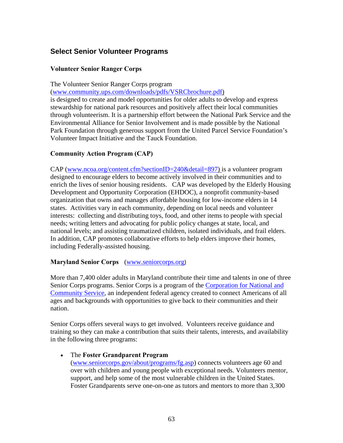## **Select Senior Volunteer Programs**

#### **Volunteer Senior Ranger Corps**

The Volunteer Senior Ranger Corps program

(www.community.ups.com/downloads/pdfs/VSRCbrochure.pdf)

is designed to create and model opportunities for older adults to develop and express stewardship for national park resources and positively affect their local communities through volunteerism. It is a partnership effort between the National Park Service and the Environmental Alliance for Senior Involvement and is made possible by the National Park Foundation through generous support from the United Parcel Service Foundation's Volunteer Impact Initiative and the Tauck Foundation.

### **Community Action Program (CAP)**

CAP (www.ncoa.org/content.cfm?sectionID=240&detail=897) is a volunteer program designed to encourage elders to become actively involved in their communities and to enrich the lives of senior housing residents. CAP was developed by the Elderly Housing Development and Opportunity Corporation (EHDOC), a nonprofit community-based organization that owns and manages affordable housing for low-income elders in 14 states. Activities vary in each community, depending on local needs and volunteer interests: collecting and distributing toys, food, and other items to people with special needs; writing letters and advocating for public policy changes at state, local, and national levels; and assisting traumatized children, isolated individuals, and frail elders. In addition, CAP promotes collaborative efforts to help elders improve their homes, including Federally-assisted housing.

#### **Maryland Senior Corps** ([www.seniorcorps.org](http://www.seniorcorps.org/))

More than 7,400 older adults in Maryland contribute their time and talents in one of three Senior Corps programs. Senior Corps is a program of the [Corporation for National and](http://www.nationalservice.gov/)  [Community Service](http://www.nationalservice.gov/), an independent federal agency created to connect Americans of all ages and backgrounds with opportunities to give back to their communities and their nation.

Senior Corps offers several ways to get involved. Volunteers receive guidance and training so they can make a contribution that suits their talents, interests, and availability in the following three programs:

#### • The **Foster Grandparent Program**

([www.seniorcorps.gov/about/programs/fg.asp](http://www.seniorcorps.gov/about/programs/fg.asp)) connects volunteers age 60 and over with children and young people with exceptional needs. Volunteers mentor, support, and help some of the most vulnerable children in the United States. Foster Grandparents serve one-on-one as tutors and mentors to more than 3,300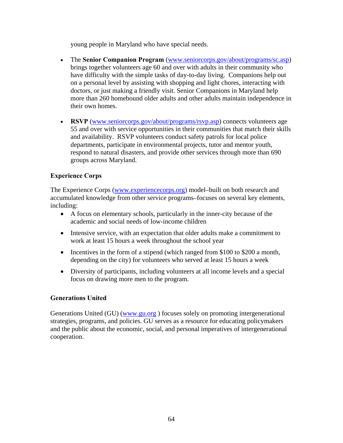young people in Maryland who have special needs.

- The **Senior Companion Program** ([www.seniorcorps.gov/about/programs/sc.asp](http://www.seniorcorps.gov/about/programs/sc.asp)) brings together volunteers age 60 and over with adults in their community who have difficulty with the simple tasks of day-to-day living. Companions help out on a personal level by assisting with shopping and light chores, interacting with doctors, or just making a friendly visit. Senior Companions in Maryland help more than 260 homebound older adults and other adults maintain independence in their own homes.
- **RSVP** [\(www.seniorcorps.gov/about/programs/rsvp.asp](http://www.seniorcorps.gov/about/programs/rsvp.asp)) connects volunteers age 55 and over with service opportunities in their communities that match their skills and availability. RSVP volunteers conduct safety patrols for local police departments, participate in environmental projects, tutor and mentor youth, respond to natural disasters, and provide other services through more than 690 groups across Maryland.

### **Experience Corps**

The Experience Corps [\(www.experiencecorps.org](http://www.experiencecorps.org/)) model–built on both research and accumulated knowledge from other service programs–focuses on several key elements, including:

- A focus on elementary schools, particularly in the inner-city because of the academic and social needs of low-income children
- Intensive service, with an expectation that older adults make a commitment to work at least 15 hours a week throughout the school year
- Incentives in the form of a stipend (which ranged from \$100 to \$200 a month, depending on the city) for volunteers who served at least 15 hours a week
- Diversity of participants, including volunteers at all income levels and a special focus on drawing more men to the program.

#### **Generations United**

Generations United (GU) (www.gu.org) focuses solely on promoting intergenerational strategies, programs, and policies. GU serves as a resource for educating policymakers and the public about the economic, social, and personal imperatives of intergenerational cooperation.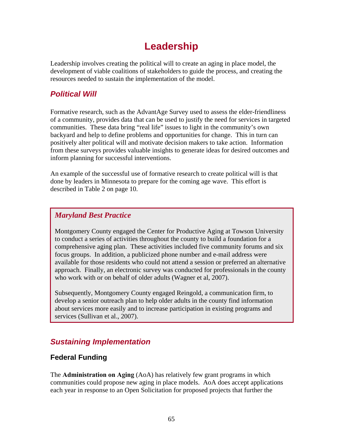## **Leadership**

Leadership involves creating the political will to create an aging in place model, the development of viable coalitions of stakeholders to guide the process, and creating the resources needed to sustain the implementation of the model.

## *Political Will*

Formative research, such as the AdvantAge Survey used to assess the elder-friendliness of a community, provides data that can be used to justify the need for services in targeted communities. These data bring "real life" issues to light in the community's own backyard and help to define problems and opportunities for change. This in turn can positively alter political will and motivate decision makers to take action. Information from these surveys provides valuable insights to generate ideas for desired outcomes and inform planning for successful interventions.

An example of the successful use of formative research to create political will is that done by leaders in Minnesota to prepare for the coming age wave. This effort is described in Table 2 on page 10.

### *Maryland Best Practice*

Montgomery County engaged the Center for Productive Aging at Towson University to conduct a series of activities throughout the county to build a foundation for a comprehensive aging plan. These activities included five community forums and six focus groups. In addition, a publicized phone number and e-mail address were available for those residents who could not attend a session or preferred an alternative approach. Finally, an electronic survey was conducted for professionals in the county who work with or on behalf of older adults (Wagner et al, 2007).

Subsequently, Montgomery County engaged Reingold, a communication firm, to develop a senior outreach plan to help older adults in the county find information about services more easily and to increase participation in existing programs and services (Sullivan et al., 2007).

## *Sustaining Implementation*

## **Federal Funding**

The **Administration on Aging** (AoA) has relatively few grant programs in which communities could propose new aging in place models. AoA does accept applications each year in response to an Open Solicitation for proposed projects that further the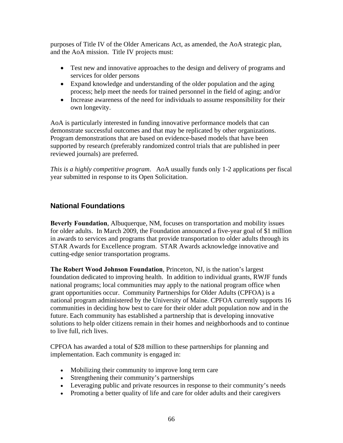purposes of Title IV of the Older Americans Act, as amended, the AoA strategic plan, and the AoA mission. Title IV projects must:

- Test new and innovative approaches to the design and delivery of programs and services for older persons
- Expand knowledge and understanding of the older population and the aging process; help meet the needs for trained personnel in the field of aging; and/or
- Increase awareness of the need for individuals to assume responsibility for their own longevity.

AoA is particularly interested in funding innovative performance models that can demonstrate successful outcomes and that may be replicated by other organizations. Program demonstrations that are based on evidence-based models that have been supported by research (preferably randomized control trials that are published in peer reviewed journals) are preferred.

*This is a highly competitive program*. AoA usually funds only 1-2 applications per fiscal year submitted in response to its Open Solicitation.

## **National Foundations**

**Beverly Foundation**, Albuquerque, NM, focuses on transportation and mobility issues for older adults. In March 2009, the Foundation announced a five-year goal of \$1 million in awards to services and programs that provide transportation to older adults through its STAR Awards for Excellence program. STAR Awards acknowledge innovative and cutting-edge senior transportation programs.

**The Robert Wood Johnson Foundation**, Princeton, NJ, is the nation's largest foundation dedicated to improving health. In addition to individual grants, RWJF funds national programs; local communities may apply to the national program office when grant opportunities occur. Community Partnerships for Older Adults (CPFOA) is a national program administered by the University of Maine. CPFOA currently supports [16](http://cpfoa.org/grantees/)  [communities](http://cpfoa.org/grantees/) in deciding how best to care for their older adult population now and in the future. Each community has established a partnership that is developing innovative solutions to help older citizens remain in their homes and neighborhoods and to continue to live full, rich lives.

CPFOA has awarded a total of \$28 million to these partnerships for planning and implementation. Each community is engaged in:

- Mobilizing their community to improve long term care
- Strengthening their community's partnerships
- Leveraging public and private resources in response to their community's needs
- Promoting a better quality of life and care for older adults and their caregivers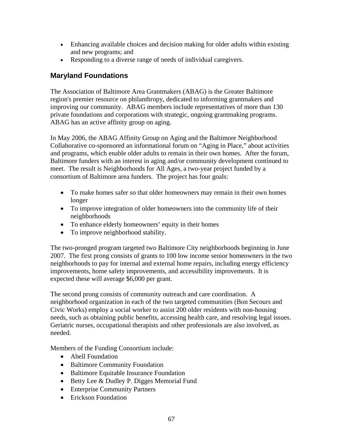- Enhancing available choices and decision making for older adults within existing and new programs; and
- Responding to a diverse range of needs of individual caregivers.

## **Maryland Foundations**

The Association of Baltimore Area Grantmakers (ABAG) is the Greater Baltimore region's premier resource on philanthropy, dedicated to informing grantmakers and improving our community. ABAG members include representatives of more than 130 private foundations and corporations with strategic, ongoing grantmaking programs. ABAG has an active affinity group on aging.

In May 2006, the ABAG Affinity Group on Aging and the Baltimore Neighborhood Collaborative co-sponsored an informational forum on "Aging in Place," about activities and programs, which enable older adults to remain in their own homes. After the forum, Baltimore funders with an interest in aging and/or community development continued to meet. The result is Neighborhoods for All Ages, a two-year project funded by a consortium of Baltimore area funders. The project has four goals:

- To make homes safer so that older homeowners may remain in their own homes longer
- To improve integration of older homeowners into the community life of their neighborhoods
- To enhance elderly homeowners' equity in their homes
- To improve neighborhood stability.

The two-pronged program targeted two Baltimore City neighborhoods beginning in June 2007. The first prong consists of grants to 100 low income senior homeowners in the two neighborhoods to pay for internal and external home repairs, including energy efficiency improvements, home safety improvements, and accessibility improvements. It is expected these will average \$6,000 per grant.

The second prong consists of community outreach and care coordination. A neighborhood organization in each of the two targeted communities (Bon Secours and Civic Works) employ a social worker to assist 200 older residents with non-housing needs, such as obtaining public benefits, accessing health care, and resolving legal issues. Geriatric nurses, occupational therapists and other professionals are also involved, as needed.

Members of the Funding Consortium include:

- Abell Foundation
- Baltimore Community Foundation
- Baltimore Equitable Insurance Foundation
- Betty Lee & Dudley P. Digges Memorial Fund
- Enterprise Community Partners
- Erickson Foundation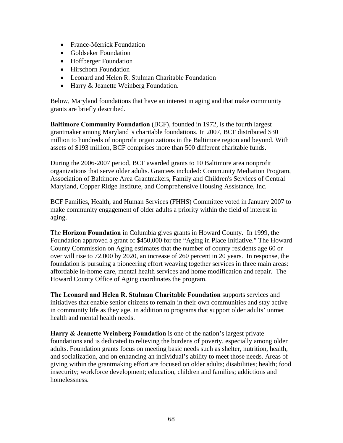- France-Merrick Foundation
- Goldseker Foundation
- Hoffberger Foundation
- Hirschorn Foundation
- Leonard and Helen R. Stulman Charitable Foundation
- Harry & Jeanette Weinberg Foundation.

Below, Maryland foundations that have an interest in aging and that make community grants are briefly described.

**Baltimore Community Foundation** (BCF), founded in 1972, is the fourth largest grantmaker among Maryland 's charitable foundations. In 2007, BCF distributed \$30 million to hundreds of nonprofit organizations in the Baltimore region and beyond. With assets of \$193 million, BCF comprises more than 500 different charitable funds.

During the 2006-2007 period, BCF awarded grants to 10 Baltimore area nonprofit organizations that serve older adults. Grantees included: Community Mediation Program, Association of Baltimore Area Grantmakers, Family and Children's Services of Central Maryland, Copper Ridge Institute, and Comprehensive Housing Assistance, Inc.

BCF Families, Health, and Human Services (FHHS) Committee voted in January 2007 to make community engagement of older adults a priority within the field of interest in aging.

The **Horizon Foundation** in Columbia gives grants in Howard County. In 1999, the Foundation approved a grant of \$450,000 for the "Aging in Place Initiative." The Howard County Commission on Aging estimates that the number of county residents age 60 or over will rise to 72,000 by 2020, an increase of 260 percent in 20 years. In response, the foundation is pursuing a pioneering effort weaving together services in three main areas: affordable in-home care, mental health services and home modification and repair. The Howard County Office of Aging coordinates the program.

**The Leonard and Helen R. Stulman Charitable Foundation** supports services and initiatives that enable senior citizens to remain in their own communities and stay active in community life as they age, in addition to programs that support older adults' unmet health and mental health needs.

**Harry & Jeanette Weinberg Foundation** is one of the nation's largest private foundations and is dedicated to relieving the burdens of poverty, especially among older adults. Foundation grants focus on meeting basic needs such as shelter, nutrition, health, and socialization, and on enhancing an individual's ability to meet those needs. Areas of giving within the grantmaking effort are focused on older adults; disabilities; health; food insecurity; workforce development; education, children and families; addictions and homelessness.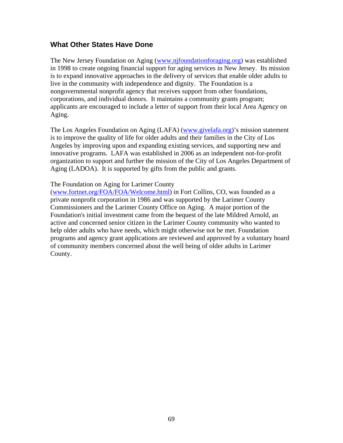### **What Other States Have Done**

The New Jersey Foundation on Aging ([www.njfoundationforaging.org\)](http://www.njfoundationforaging.org/) was established in 1998 to create ongoing financial support for aging services in New Jersey. Its mission is to expand innovative approaches in the delivery of services that enable older adults to live in the community with independence and dignity. The Foundation is a nongovernmental nonprofit agency that receives support from other foundations, corporations, and individual donors. It maintains a community grants program; applicants are encouraged to include a letter of support from their local Area Agency on Aging.

The Los Angeles Foundation on Aging (LAFA) (www.givelafa.org)'s mission statement is to improve the quality of life for older adults and their families in the City of Los Angeles by improving upon and expanding existing services, and supporting new and innovative programs. LAFA was established in 2006 as an independent not-for-profit organization to support and further the mission of the City of Los Angeles Department of Aging (LADOA). It is supported by gifts from the public and grants.

#### The Foundation on Aging for Larimer County

([www.fortnet.org/FOA/FOA/Welcome.html\)](http://www.fortnet.org/FOA/FOA/Welcome.html) in Fort Collins, CO, was founded as a private nonprofit corporation in 1986 and was supported by the Larimer County Commissioners and the Larimer County Office on Aging. A major portion of the Foundation's initial investment came from the bequest of the late Mildred Arnold, an active and concerned senior citizen in the Larimer County community who wanted to help older adults who have needs, which might otherwise not be met. Foundation programs and agency grant applications are reviewed and approved by a voluntary board of community members concerned about the well being of older adults in Larimer County.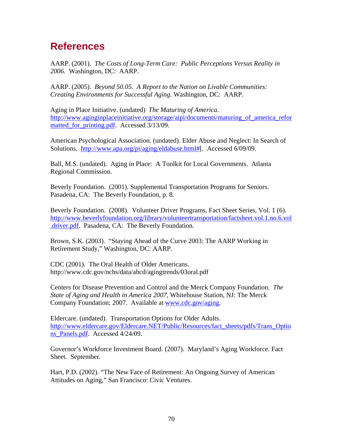## **References**

AARP. (2001). *The Costs of Long-Term Care: Public Perceptions Versus Reality in 2006.* Washington, DC: AARP.

AARP. (2005). *Beyond 50.05. A Report to the Nation on Livable Communities: Creating Environments for Successful Aging*. Washington, DC: AARP.

Aging in Place Initiative. (undated) *The Maturing of America*. [http://www.aginginplaceinitiative.org/storage/aipi/documents/maturing\\_of\\_america\\_refor](http://www.aginginplaceinitiative.org/storage/aipi/documents/maturing_of_america_reformatted_for_printing.pdf) matted for printing.pdf. Accessed 3/13/09.

American Psychological Association. (undated). Elder Abuse and Neglect: In Search of Solutions. [http://www.apa.org/pi/aging/eldabuse.html#\[](http://www.apa.org/pi/aging/eldabuse.html). Accessed 6/09/09.

Ball, M.S. (undated). Aging in Place: A Toolkit for Local Governments. Atlanta Regional Commission.

Beverly Foundation. (2001). Supplemental Transportation Programs for Seniors. Pasadena, CA: The Beverly Foundation, p. 8.

Beverly Foundation. (2008). Volunteer Driver Programs, Fact Sheet Series, Vol. 1 (6). [http://www.beverlyfoundation.org/library/volunteertransportation/factsheet.vol.1.no.6.vol](http://www.beverlyfoundation.org/library/volunteertransportation/factsheet.vol.1.no.6.vol.driver.pdf) [.driver.pdf.](http://www.beverlyfoundation.org/library/volunteertransportation/factsheet.vol.1.no.6.vol.driver.pdf) Pasadena, CA: The Beverly Foundation.

Brown, S.K. (2003). "Staying Ahead of the Curve 2003: The AARP Working in Retirement Study," Washington, DC: AARP.

CDC (2001). The Oral Health of Older Americans. http://www.cdc.gov/nchs/data/ahcd/agingtrends/03oral.pdf

Centers for Disease Prevention and Control and the Merck Company Foundation. *The State of Aging and Health in America 2007,* Whitehouse Station, NJ: The Merck Company Foundation; 2007. Available at [www.cdc.gov/aging.](http://www.cdc.gov/aging)

Eldercare. (undated). Transportation Options for Older Adults. [http://www.eldercare.gov/Eldercare.NET/Public/Resources/fact\\_sheets/pdfs/Trans\\_Optio](http://www.eldercare.gov/Eldercare.NET/Public/Resources/fact_sheets/pdfs/Trans_Options_Panels.pdf) ns Panels.pdf. Accessed 4/24/09.

Governor's Workforce Investment Board. (2007). Maryland's Aging Workforce. Fact Sheet. September.

Hart, P.D. (2002). "The New Face of Retirement: An Ongoing Survey of American Attitudes on Aging," San Francisco: Civic Ventures.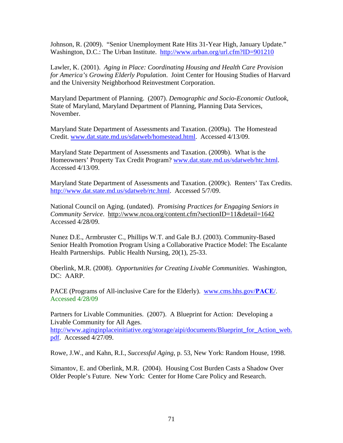Johnson, R. (2009). "Senior Unemployment Rate Hits 31-Year High, January Update." Washington, D.C.: The Urban Institute. <http://www.urban.org/url.cfm?ID=901210>

Lawler, K. (2001). *Aging in Place: Coordinating Housing and Health Care Provision for America's Growing Elderly Population*. Joint Center for Housing Studies of Harvard and the University Neighborhood Reinvestment Corporation.

Maryland Department of Planning. (2007). *Demographic and Socio-Economic Outlook*, State of Maryland, Maryland Department of Planning, Planning Data Services, November.

Maryland State Department of Assessments and Taxation. (2009a). The Homestead Credit. [www.dat.state.md.us/sdatweb/homestead.html.](http://www.dat.state.md.us/sdatweb/homestead.html) Accessed 4/13/09.

Maryland State Department of Assessments and Taxation. (2009b). What is the Homeowners' Property Tax Credit Program? [www.dat.state.md.us/sdatweb/htc.html.](http://www.dat.state.md.us/sdatweb/htc.html) Accessed 4/13/09.

Maryland State Department of Assessments and Taxation. (2009c). Renters' Tax Credits. [http://www.dat.state.md.us/sdatweb/rtc.html.](http://www.dat.state.md.us/sdatweb/rtc.html) Accessed 5/7/09.

National Council on Aging. (undated). *Promising Practices for Engaging Seniors in Community Service*. http://www.ncoa.org/content.cfm?sectionID=11&detail=1642 Accessed 4/28/09.

Nunez D.E., Armbruster C., Phillips W.T. and Gale B.J. (2003). Community-Based Senior Health Promotion Program Using a Collaborative Practice Model: The Escalante Health Partnerships. Public Health Nursing, 20(1), 25-33.

Oberlink, M.R. (2008). *Opportunities for Creating Livable Communities*. Washington, DC: AARP.

PACE (Programs of All-inclusive Care for the Elderly). [www.cms.hhs.gov/](http://www.cms.hhs.gov/PACE/)**PACE**/. Accessed 4/28/09

Partners for Livable Communities. (2007). A Blueprint for Action: Developing a Livable Community for All Ages. [http://www.aginginplaceinitiative.org/storage/aipi/documents/Blueprint\\_for\\_Action\\_web.](http://www.aginginplaceinitiative.org/storage/aipi/documents/Blueprint_for_Action_web.pdf) [pdf.](http://www.aginginplaceinitiative.org/storage/aipi/documents/Blueprint_for_Action_web.pdf) Accessed 4/27/09.

Rowe, J.W., and Kahn, R.I., *Successful Aging*, p. 53, New York: Random House, 1998.

Simantov, E. and Oberlink, M.R. (2004). Housing Cost Burden Casts a Shadow Over Older People's Future. New York: Center for Home Care Policy and Research.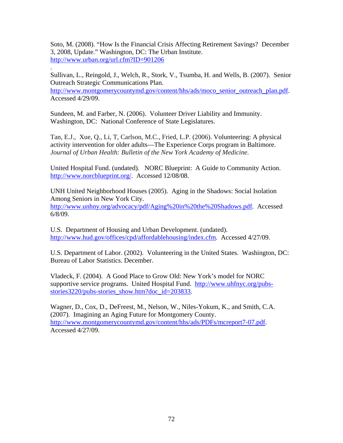Soto, M. (2008). "How Is the Financial Crisis Affecting Retirement Savings? December 3, 2008, Update." Washington, DC: The Urban Institute. <http://www.urban.org/url.cfm?ID=901206>

Sullivan, L., Reingold, J., Welch, R., Stork, V., Tsumba, H. and Wells, B. (2007). Senior Outreach Strategic Communications Plan. [http://www.montgomerycountymd.gov/content/hhs/ads/moco\\_senior\\_outreach\\_plan.pdf](http://www.montgomerycountymd.gov/content/hhs/ads/moco_senior_outreach_plan.pdf). Accessed 4/29/09.

Sundeen, M. and Farber, N. (2006). Volunteer Driver Liability and Immunity. Washington, DC: National Conference of State Legislatures.

.

Tan, E.J., Xue, Q., Li, T, Carlson, M.C., Fried, L.P. (2006). Volunteering: A physical activity intervention for older adults—The Experience Corps program in Baltimore. *Journal of Urban Health: Bulletin of the New York Academy of Medicine.*

United Hospital Fund. (undated). NORC Blueprint: A Guide to Community Action. [http://www.norcblueprint.org/.](http://www.norcblueprint.org/) Accessed 12/08/08.

UNH United Neighborhood Houses (2005). Aging in the Shadows: Social Isolation Among Seniors in New York City. <http://www.unhny.org/advocacy/pdf/Aging%20in%20the%20Shadows.pdf>. Accessed 6/8/09.

U.S. Department of Housing and Urban Development. (undated). [http://www.hud.gov/offices/cpd/affordablehousing/index.cfm.](http://www.hud.gov/offices/cpd/affordablehousing/index.cfm) Accessed 4/27/09.

U.S. Department of Labor. (2002). Volunteering in the United States. Washington, DC: Bureau of Labor Statistics. December.

Vladeck, F. (2004). A Good Place to Grow Old: New York's model for NORC supportive service programs. United Hospital Fund. [http://www.uhfnyc.org/pubs](http://www.uhfnyc.org/pubs-stories3220/pubs-stories_show.htm?doc_id=203833)[stories3220/pubs-stories\\_show.htm?doc\\_id=203833](http://www.uhfnyc.org/pubs-stories3220/pubs-stories_show.htm?doc_id=203833).

Wagner, D., Cox, D., DeFreest, M., Nelson, W., Niles-Yokum, K., and Smith, C.A. (2007). Imagining an Aging Future for Montgomery County. [http://www.montgomerycountymd.gov/content/hhs/ads/PDFs/mcreport7-07.pdf.](http://www.montgomerycountymd.gov/content/hhs/ads/PDFs/mcreport7-07.pdf) Accessed 4/27/09.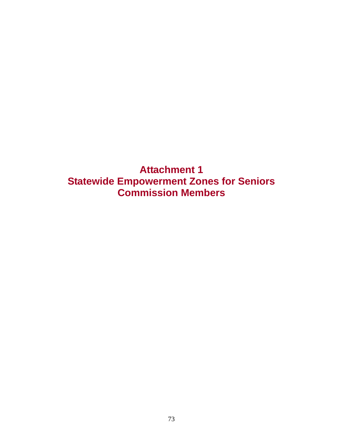**Attachment 1 Statewide Empowerment Zones for Seniors Commission Members**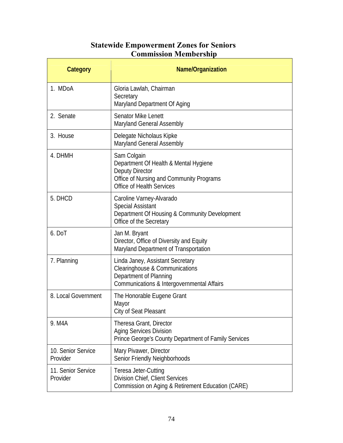## **Statewide Empowerment Zones for Seniors Commission Membership**

| Category                       | Name/Organization                                                                                                                                |
|--------------------------------|--------------------------------------------------------------------------------------------------------------------------------------------------|
| 1. MDoA                        | Gloria Lawlah, Chairman<br>Secretary<br>Maryland Department Of Aging                                                                             |
| 2. Senate                      | <b>Senator Mike Lenett</b><br><b>Maryland General Assembly</b>                                                                                   |
| 3. House                       | Delegate Nicholaus Kipke<br><b>Maryland General Assembly</b>                                                                                     |
| 4. DHMH                        | Sam Colgain<br>Department Of Health & Mental Hygiene<br>Deputy Director<br>Office of Nursing and Community Programs<br>Office of Health Services |
| 5. DHCD                        | Caroline Varney-Alvarado<br><b>Special Assistant</b><br>Department Of Housing & Community Development<br>Office of the Secretary                 |
| 6. DoT                         | Jan M. Bryant<br>Director, Office of Diversity and Equity<br>Maryland Department of Transportation                                               |
| 7. Planning                    | Linda Janey, Assistant Secretary<br>Clearinghouse & Communications<br>Department of Planning<br>Communications & Intergovernmental Affairs       |
| 8. Local Government            | The Honorable Eugene Grant<br>Mayor<br>City of Seat Pleasant                                                                                     |
| 9. M4A                         | Theresa Grant, Director<br><b>Aging Services Division</b><br>Prince George's County Department of Family Services                                |
| 10. Senior Service<br>Provider | Mary Pivawer, Director<br>Senior Friendly Neighborhoods                                                                                          |
| 11. Senior Service<br>Provider | <b>Teresa Jeter-Cutting</b><br>Division Chief, Client Services<br>Commission on Aging & Retirement Education (CARE)                              |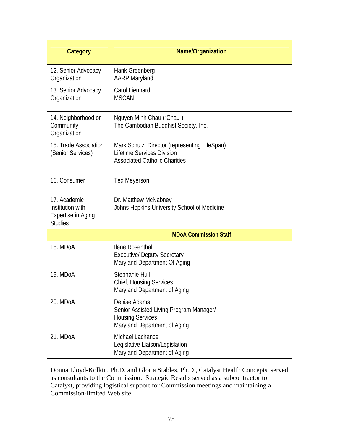| Category                                                                 | <b>Name/Organization</b>                                                                                            |
|--------------------------------------------------------------------------|---------------------------------------------------------------------------------------------------------------------|
| 12. Senior Advocacy<br>Organization                                      | Hank Greenberg<br><b>AARP Maryland</b>                                                                              |
| 13. Senior Advocacy<br>Organization                                      | <b>Carol Lienhard</b><br><b>MSCAN</b>                                                                               |
| 14. Neighborhood or<br>Community<br>Organization                         | Nguyen Minh Chau ("Chau")<br>The Cambodian Buddhist Society, Inc.                                                   |
| 15. Trade Association<br>(Senior Services)                               | Mark Schulz, Director (representing LifeSpan)<br>Lifetime Services Division<br><b>Associated Catholic Charities</b> |
| 16. Consumer                                                             | <b>Ted Meyerson</b>                                                                                                 |
| 17. Academic<br>Institution with<br>Expertise in Aging<br><b>Studies</b> | Dr. Matthew McNabney<br>Johns Hopkins University School of Medicine                                                 |
|                                                                          | <b>MDoA Commission Staff</b>                                                                                        |
| 18. MDoA                                                                 | llene Rosenthal<br><b>Executive/ Deputy Secretary</b><br>Maryland Department Of Aging                               |
| 19. MDoA                                                                 | Stephanie Hull<br><b>Chief, Housing Services</b><br>Maryland Department of Aging                                    |
| 20. MDoA                                                                 | Denise Adams<br>Senior Assisted Living Program Manager/<br><b>Housing Services</b><br>Maryland Department of Aging  |
| 21. MDoA                                                                 | Michael Lachance<br>Legislative Liaison/Legislation<br>Maryland Department of Aging                                 |

Donna Lloyd-Kolkin, Ph.D. and Gloria Stables, Ph.D., Catalyst Health Concepts, served as consultants to the Commission. Strategic Results served as a subcontractor to Catalyst, providing logistical support for Commission meetings and maintaining a Commission-limited Web site.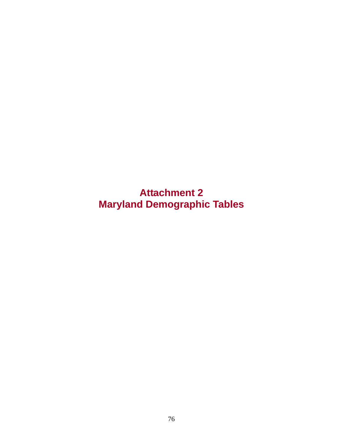**Attachment 2 Maryland Demographic Tables**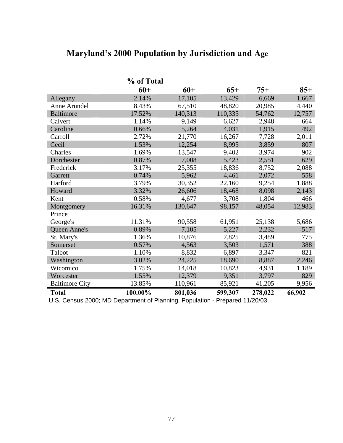## **Maryland's 2000 Population by Jurisdiction and Age**

|                       | % of Total |         |         |         |        |
|-----------------------|------------|---------|---------|---------|--------|
|                       | $60+$      | $60+$   | $65+$   | $75+$   | $85+$  |
| Allegany              | 2.14%      | 17,105  | 13,429  | 6,669   | 1,667  |
| Anne Arundel          | 8.43%      | 67,510  | 48,820  | 20,985  | 4,440  |
| <b>Baltimore</b>      | 17.52%     | 140,313 | 110,335 | 54,762  | 12,757 |
| Calvert               | 1.14%      | 9,149   | 6,627   | 2,948   | 664    |
| Caroline              | 0.66%      | 5,264   | 4,031   | 1,915   | 492    |
| Carroll               | 2.72%      | 21,770  | 16,267  | 7,728   | 2,011  |
| Cecil                 | 1.53%      | 12,254  | 8,995   | 3,859   | 807    |
| Charles               | 1.69%      | 13,547  | 9,402   | 3,974   | 902    |
| Dorchester            | 0.87%      | 7,008   | 5,423   | 2,551   | 629    |
| Frederick             | 3.17%      | 25,355  | 18,836  | 8,752   | 2,088  |
| Garrett               | 0.74%      | 5,962   | 4,461   | 2,072   | 558    |
| Harford               | 3.79%      | 30,352  | 22,160  | 9,254   | 1,888  |
| Howard                | 3.32%      | 26,606  | 18,468  | 8,098   | 2,143  |
| Kent                  | 0.58%      | 4,677   | 3,708   | 1,804   | 466    |
| Montgomery            | 16.31%     | 130,647 | 98,157  | 48,054  | 12,983 |
| Prince                |            |         |         |         |        |
| George's              | 11.31%     | 90,558  | 61,951  | 25,138  | 5,686  |
| Queen Anne's          | 0.89%      | 7,105   | 5,227   | 2,232   | 517    |
| St. Mary's            | 1.36%      | 10,876  | 7,825   | 3,489   | 775    |
| Somerset              | 0.57%      | 4,563   | 3,503   | 1,571   | 388    |
| Talbot                | 1.10%      | 8,832   | 6,897   | 3,347   | 821    |
| Washington            | 3.02%      | 24,225  | 18,690  | 8,887   | 2,246  |
| Wicomico              | 1.75%      | 14,018  | 10,823  | 4,931   | 1,189  |
| Worcester             | 1.55%      | 12,379  | 9,351   | 3,797   | 829    |
| <b>Baltimore City</b> | 13.85%     | 110,961 | 85,921  | 41,205  | 9,956  |
| <b>Total</b>          | 100.00%    | 801,036 | 599,307 | 278,022 | 66,902 |

U.S. Census 2000; MD Department of Planning, Population - Prepared 11/20/03.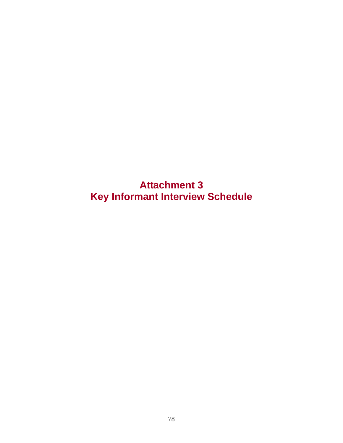**Attachment 3 Key Informant Interview Schedule**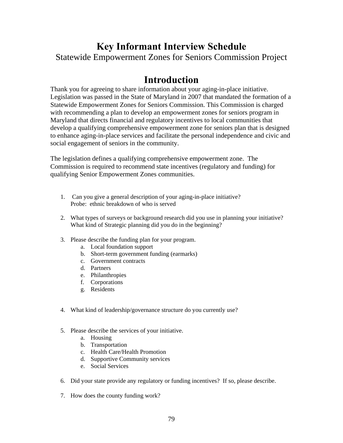# **Key Informant Interview Schedule**

Statewide Empowerment Zones for Seniors Commission Project

## **Introduction**

Thank you for agreeing to share information about your aging-in-place initiative. Legislation was passed in the State of Maryland in 2007 that mandated the formation of a Statewide Empowerment Zones for Seniors Commission. This Commission is charged with recommending a plan to develop an empowerment zones for seniors program in Maryland that directs financial and regulatory incentives to local communities that develop a qualifying comprehensive empowerment zone for seniors plan that is designed to enhance aging-in-place services and facilitate the personal independence and civic and social engagement of seniors in the community.

The legislation defines a qualifying comprehensive empowerment zone. The Commission is required to recommend state incentives (regulatory and funding) for qualifying Senior Empowerment Zones communities.

- 1. Can you give a general description of your aging-in-place initiative? Probe: ethnic breakdown of who is served
- 2. What types of surveys or background research did you use in planning your initiative? What kind of Strategic planning did you do in the beginning?
- 3. Please describe the funding plan for your program.
	- a. Local foundation support
	- b. Short-term government funding (earmarks)
	- c. Government contracts
	- d. Partners
	- e. Philanthropies
	- f. Corporations
	- g. Residents
- 4. What kind of leadership/governance structure do you currently use?
- 5. Please describe the services of your initiative.
	- a. Housing
	- b. Transportation
	- c. Health Care/Health Promotion
	- d. Supportive Community services
	- e. Social Services
- 6. Did your state provide any regulatory or funding incentives? If so, please describe.
- 7. How does the county funding work?